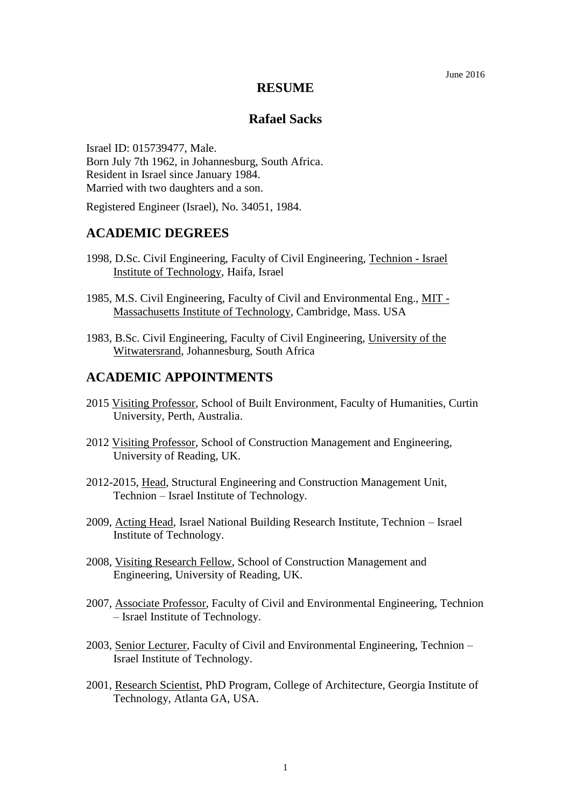#### June 2016

#### **RESUME**

#### **Rafael Sacks**

Israel ID: 015739477, Male. Born July 7th 1962, in Johannesburg, South Africa. Resident in Israel since January 1984. Married with two daughters and a son.

Registered Engineer (Israel), No. 34051, 1984.

## **ACADEMIC DEGREES**

- 1998, D.Sc. Civil Engineering, Faculty of Civil Engineering, Technion Israel Institute of Technology, Haifa, Israel
- 1985, M.S. Civil Engineering, Faculty of Civil and Environmental Eng., MIT Massachusetts Institute of Technology, Cambridge, Mass. USA
- 1983, B.Sc. Civil Engineering, Faculty of Civil Engineering, University of the Witwatersrand, Johannesburg, South Africa

### **ACADEMIC APPOINTMENTS**

- 2015 Visiting Professor, School of Built Environment, Faculty of Humanities, Curtin University, Perth, Australia.
- 2012 Visiting Professor, School of Construction Management and Engineering, University of Reading, UK.
- 2012-2015, Head, Structural Engineering and Construction Management Unit, Technion – Israel Institute of Technology.
- 2009, Acting Head, Israel National Building Research Institute, Technion Israel Institute of Technology.
- 2008, Visiting Research Fellow, School of Construction Management and Engineering, University of Reading, UK.
- 2007, Associate Professor, Faculty of Civil and Environmental Engineering, Technion – Israel Institute of Technology.
- 2003, Senior Lecturer, Faculty of Civil and Environmental Engineering, Technion Israel Institute of Technology.
- 2001, Research Scientist, PhD Program, College of Architecture, Georgia Institute of Technology, Atlanta GA, USA.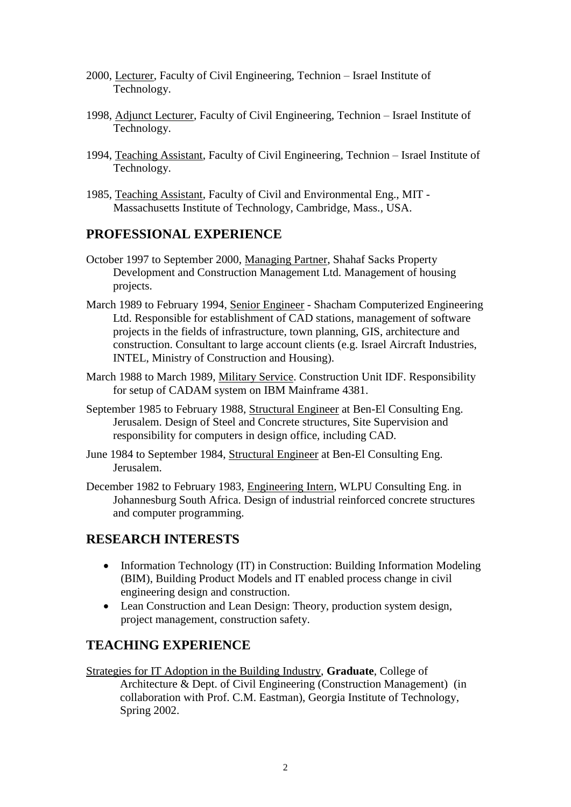- 2000, Lecturer, Faculty of Civil Engineering, Technion Israel Institute of Technology.
- 1998, Adjunct Lecturer, Faculty of Civil Engineering, Technion Israel Institute of Technology.
- 1994, Teaching Assistant, Faculty of Civil Engineering, Technion Israel Institute of Technology.
- 1985, Teaching Assistant, Faculty of Civil and Environmental Eng., MIT Massachusetts Institute of Technology, Cambridge, Mass., USA.

# **PROFESSIONAL EXPERIENCE**

- October 1997 to September 2000, Managing Partner, Shahaf Sacks Property Development and Construction Management Ltd. Management of housing projects.
- March 1989 to February 1994, Senior Engineer Shacham Computerized Engineering Ltd. Responsible for establishment of CAD stations, management of software projects in the fields of infrastructure, town planning, GIS, architecture and construction. Consultant to large account clients (e.g. Israel Aircraft Industries, INTEL, Ministry of Construction and Housing).
- March 1988 to March 1989, Military Service. Construction Unit IDF. Responsibility for setup of CADAM system on IBM Mainframe 4381.
- September 1985 to February 1988, Structural Engineer at Ben-El Consulting Eng. Jerusalem. Design of Steel and Concrete structures, Site Supervision and responsibility for computers in design office, including CAD.
- June 1984 to September 1984, Structural Engineer at Ben-El Consulting Eng. Jerusalem.
- December 1982 to February 1983, Engineering Intern, WLPU Consulting Eng. in Johannesburg South Africa. Design of industrial reinforced concrete structures and computer programming.

## **RESEARCH INTERESTS**

- Information Technology (IT) in Construction: Building Information Modeling (BIM), Building Product Models and IT enabled process change in civil engineering design and construction.
- Lean Construction and Lean Design: Theory, production system design, project management, construction safety.

## **TEACHING EXPERIENCE**

Strategies for IT Adoption in the Building Industry, **Graduate**, College of Architecture & Dept. of Civil Engineering (Construction Management) (in collaboration with Prof. C.M. Eastman), Georgia Institute of Technology, Spring 2002.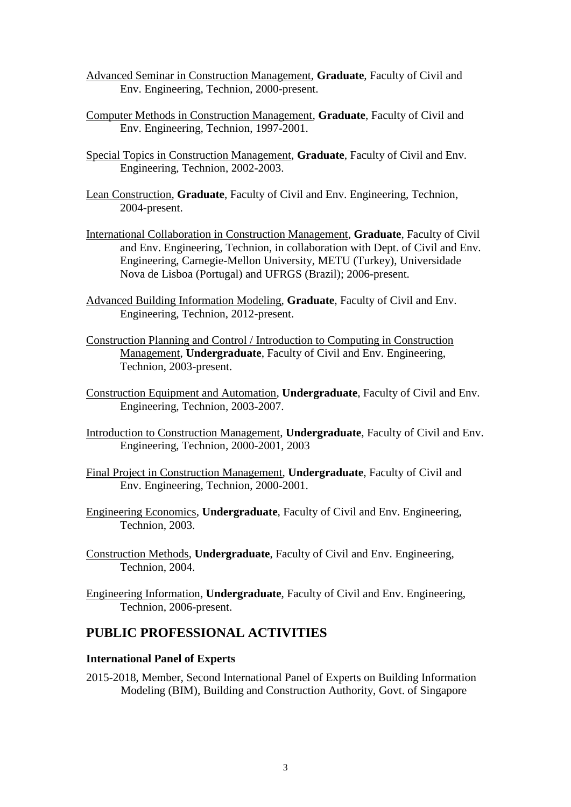- Advanced Seminar in Construction Management, **Graduate**, Faculty of Civil and Env. Engineering, Technion, 2000-present.
- Computer Methods in Construction Management, **Graduate**, Faculty of Civil and Env. Engineering, Technion, 1997-2001.
- Special Topics in Construction Management, **Graduate**, Faculty of Civil and Env. Engineering, Technion, 2002-2003.
- Lean Construction, **Graduate**, Faculty of Civil and Env. Engineering, Technion, 2004-present.
- International Collaboration in Construction Management, **Graduate**, Faculty of Civil and Env. Engineering, Technion, in collaboration with Dept. of Civil and Env. Engineering, Carnegie-Mellon University, METU (Turkey), Universidade Nova de Lisboa (Portugal) and UFRGS (Brazil); 2006-present.
- Advanced Building Information Modeling, **Graduate**, Faculty of Civil and Env. Engineering, Technion, 2012-present.
- Construction Planning and Control / Introduction to Computing in Construction Management, **Undergraduate**, Faculty of Civil and Env. Engineering, Technion, 2003-present.
- Construction Equipment and Automation, **Undergraduate**, Faculty of Civil and Env. Engineering, Technion, 2003-2007.
- Introduction to Construction Management, **Undergraduate**, Faculty of Civil and Env. Engineering, Technion, 2000-2001, 2003
- Final Project in Construction Management, **Undergraduate**, Faculty of Civil and Env. Engineering, Technion, 2000-2001.
- Engineering Economics, **Undergraduate**, Faculty of Civil and Env. Engineering, Technion, 2003.
- Construction Methods, **Undergraduate**, Faculty of Civil and Env. Engineering, Technion, 2004.
- Engineering Information, **Undergraduate**, Faculty of Civil and Env. Engineering, Technion, 2006-present.

### **PUBLIC PROFESSIONAL ACTIVITIES**

#### **International Panel of Experts**

2015-2018, Member, Second International Panel of Experts on Building Information Modeling (BIM), Building and Construction Authority, Govt. of Singapore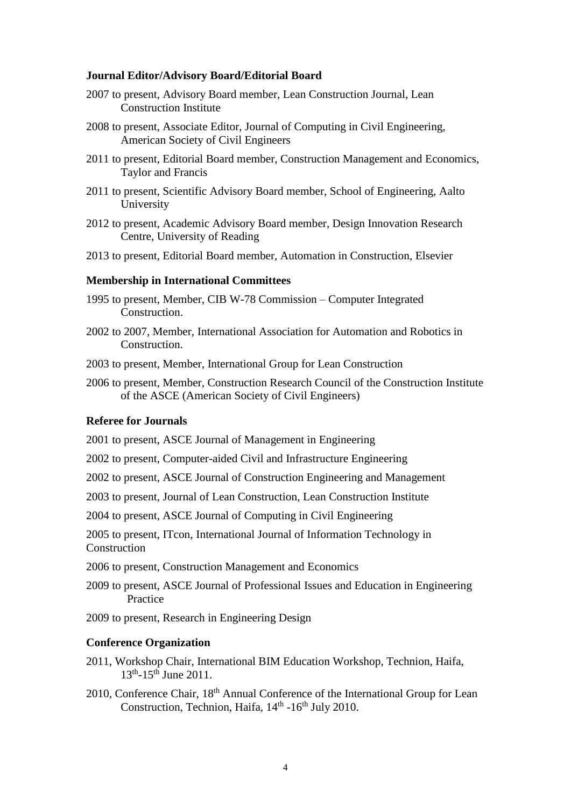#### **Journal Editor/Advisory Board/Editorial Board**

- 2007 to present, Advisory Board member, Lean Construction Journal, Lean Construction Institute
- 2008 to present, Associate Editor, Journal of Computing in Civil Engineering, American Society of Civil Engineers
- 2011 to present, Editorial Board member, Construction Management and Economics, Taylor and Francis
- 2011 to present, Scientific Advisory Board member, School of Engineering, Aalto University
- 2012 to present, Academic Advisory Board member, Design Innovation Research Centre, University of Reading
- 2013 to present, Editorial Board member, Automation in Construction, Elsevier

#### **Membership in International Committees**

- 1995 to present, Member, CIB W-78 Commission Computer Integrated Construction.
- 2002 to 2007, Member, International Association for Automation and Robotics in Construction.
- 2003 to present, Member, International Group for Lean Construction
- 2006 to present, Member, Construction Research Council of the Construction Institute of the ASCE (American Society of Civil Engineers)

#### **Referee for Journals**

2001 to present, ASCE Journal of Management in Engineering

2002 to present, Computer-aided Civil and Infrastructure Engineering

2002 to present, ASCE Journal of Construction Engineering and Management

2003 to present, Journal of Lean Construction, Lean Construction Institute

2004 to present, ASCE Journal of Computing in Civil Engineering

2005 to present, ITcon, International Journal of Information Technology in Construction

2006 to present, Construction Management and Economics

2009 to present, ASCE Journal of Professional Issues and Education in Engineering Practice

2009 to present, Research in Engineering Design

#### **Conference Organization**

- 2011, Workshop Chair, International BIM Education Workshop, Technion, Haifa, 13<sup>th</sup>-15<sup>th</sup> June 2011.
- 2010, Conference Chair, 18<sup>th</sup> Annual Conference of the International Group for Lean Construction, Technion, Haifa, 14<sup>th</sup> -16<sup>th</sup> July 2010.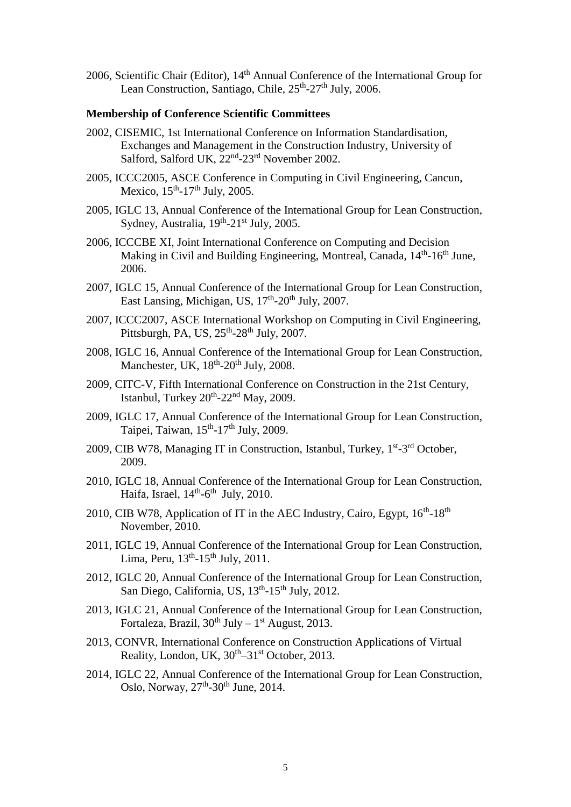2006, Scientific Chair (Editor), 14th Annual Conference of the International Group for Lean Construction, Santiago, Chile, 25<sup>th</sup>-27<sup>th</sup> July, 2006.

#### **Membership of Conference Scientific Committees**

- 2002, CISEMIC, 1st International Conference on Information Standardisation, Exchanges and Management in the Construction Industry, University of Salford, Salford UK, 22<sup>nd</sup>-23<sup>rd</sup> November 2002.
- 2005, ICCC2005, ASCE Conference in Computing in Civil Engineering, Cancun, Mexico,  $15<sup>th</sup> - 17<sup>th</sup>$  July, 2005.
- 2005, IGLC 13, Annual Conference of the International Group for Lean Construction, Sydney, Australia, 19<sup>th</sup>-21<sup>st</sup> July, 2005.
- 2006, ICCCBE XI, Joint International Conference on Computing and Decision Making in Civil and Building Engineering, Montreal, Canada, 14<sup>th</sup>-16<sup>th</sup> June, 2006.
- 2007, IGLC 15, Annual Conference of the International Group for Lean Construction, East Lansing, Michigan, US, 17<sup>th</sup>-20<sup>th</sup> July, 2007.
- 2007, ICCC2007, ASCE International Workshop on Computing in Civil Engineering, Pittsburgh, PA, US, 25<sup>th</sup>-28<sup>th</sup> July, 2007.
- 2008, IGLC 16, Annual Conference of the International Group for Lean Construction, Manchester, UK, 18<sup>th</sup>-20<sup>th</sup> July, 2008.
- 2009, CITC-V, Fifth International Conference on Construction in the 21st Century, Istanbul, Turkey 20<sup>th</sup>-22<sup>nd</sup> May, 2009.
- 2009, IGLC 17, Annual Conference of the International Group for Lean Construction, Taipei, Taiwan, 15<sup>th</sup>-17<sup>th</sup> July, 2009.
- 2009, CIB W78, Managing IT in Construction, Istanbul, Turkey, 1<sup>st</sup>-3<sup>rd</sup> October, 2009.
- 2010, IGLC 18, Annual Conference of the International Group for Lean Construction, Haifa, Israel,  $14<sup>th</sup>$ -6<sup>th</sup> July, 2010.
- 2010, CIB W78, Application of IT in the AEC Industry, Cairo, Egypt,  $16<sup>th</sup>$ -18<sup>th</sup> November, 2010.
- 2011, IGLC 19, Annual Conference of the International Group for Lean Construction, Lima, Peru,  $13^{th}$ - $15^{th}$  July, 2011.
- 2012, IGLC 20, Annual Conference of the International Group for Lean Construction, San Diego, California, US, 13<sup>th</sup>-15<sup>th</sup> July, 2012.
- 2013, IGLC 21, Annual Conference of the International Group for Lean Construction, Fortaleza, Brazil,  $30^{th}$  July –  $1^{st}$  August, 2013.
- 2013, CONVR, International Conference on Construction Applications of Virtual Reality, London, UK,  $30<sup>th</sup>-31<sup>st</sup>$  October, 2013.
- 2014, IGLC 22, Annual Conference of the International Group for Lean Construction, Oslo, Norway, 27<sup>th</sup>-30<sup>th</sup> June, 2014.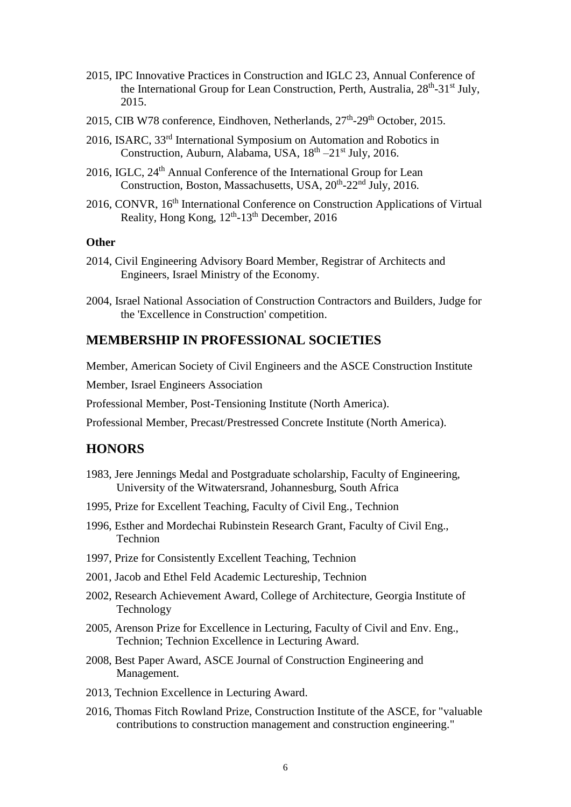- 2015, IPC Innovative Practices in Construction and IGLC 23, Annual Conference of the International Group for Lean Construction, Perth, Australia, 28<sup>th</sup>-31<sup>st</sup> July, 2015.
- 2015, CIB W78 conference, Eindhoven, Netherlands, 27<sup>th</sup>-29<sup>th</sup> October, 2015.
- 2016, ISARC, 33rd International Symposium on Automation and Robotics in Construction, Auburn, Alabama, USA, 18<sup>th</sup> -21<sup>st</sup> July, 2016.
- 2016, IGLC, 24<sup>th</sup> Annual Conference of the International Group for Lean Construction, Boston, Massachusetts, USA, 20<sup>th</sup>-22<sup>nd</sup> July, 2016.
- 2016, CONVR, 16<sup>th</sup> International Conference on Construction Applications of Virtual Reality, Hong Kong, 12<sup>th</sup>-13<sup>th</sup> December, 2016

#### **Other**

- 2014, Civil Engineering Advisory Board Member, Registrar of Architects and Engineers, Israel Ministry of the Economy.
- 2004, Israel National Association of Construction Contractors and Builders, Judge for the 'Excellence in Construction' competition.

## **MEMBERSHIP IN PROFESSIONAL SOCIETIES**

Member, American Society of Civil Engineers and the ASCE Construction Institute

Member, Israel Engineers Association

Professional Member, Post-Tensioning Institute (North America).

Professional Member, Precast/Prestressed Concrete Institute (North America).

### **HONORS**

- 1983, Jere Jennings Medal and Postgraduate scholarship, Faculty of Engineering, University of the Witwatersrand, Johannesburg, South Africa
- 1995, Prize for Excellent Teaching, Faculty of Civil Eng., Technion
- 1996, Esther and Mordechai Rubinstein Research Grant, Faculty of Civil Eng., Technion
- 1997, Prize for Consistently Excellent Teaching, Technion
- 2001, Jacob and Ethel Feld Academic Lectureship, Technion
- 2002, Research Achievement Award, College of Architecture, Georgia Institute of Technology
- 2005, Arenson Prize for Excellence in Lecturing, Faculty of Civil and Env. Eng., Technion; Technion Excellence in Lecturing Award.
- 2008, Best Paper Award, ASCE Journal of Construction Engineering and Management.
- 2013, Technion Excellence in Lecturing Award.
- 2016, Thomas Fitch Rowland Prize, Construction Institute of the ASCE, for "valuable contributions to construction management and construction engineering."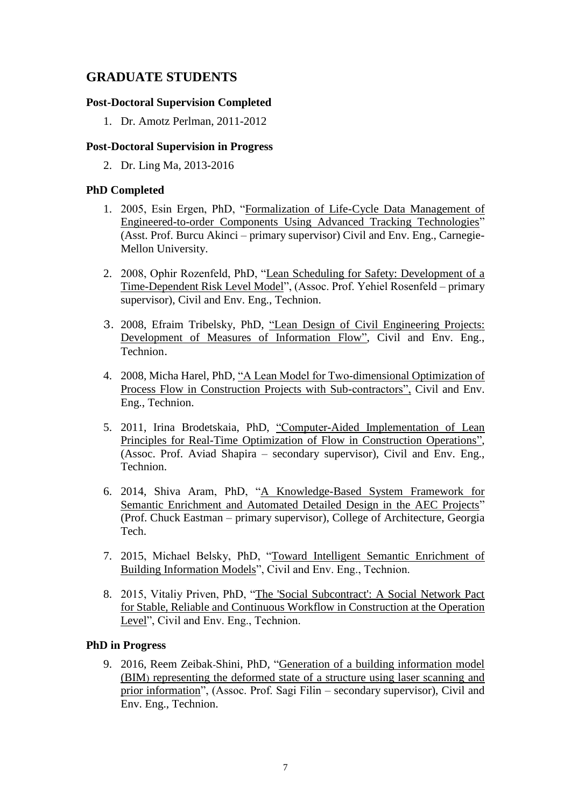# **GRADUATE STUDENTS**

### **Post-Doctoral Supervision Completed**

1. Dr. Amotz Perlman, 2011-2012

### **Post-Doctoral Supervision in Progress**

2. Dr. Ling Ma, 2013-2016

### **PhD Completed**

- 1. 2005, Esin Ergen, PhD, "Formalization of Life-Cycle Data Management of Engineered-to-order Components Using Advanced Tracking Technologies" (Asst. Prof. Burcu Akinci – primary supervisor) Civil and Env. Eng., Carnegie-Mellon University.
- 2. 2008, Ophir Rozenfeld, PhD, "Lean Scheduling for Safety: Development of a Time-Dependent Risk Level Model", (Assoc. Prof. Yehiel Rosenfeld – primary supervisor), Civil and Env. Eng., Technion.
- 3. 2008, Efraim Tribelsky, PhD, "Lean Design of Civil Engineering Projects: Development of Measures of Information Flow", Civil and Env. Eng., Technion.
- 4. 2008, Micha Harel, PhD, "A Lean Model for Two-dimensional Optimization of Process Flow in Construction Projects with Sub-contractors", Civil and Env. Eng., Technion.
- 5. 2011, Irina Brodetskaia, PhD, "Computer-Aided Implementation of Lean Principles for Real-Time Optimization of Flow in Construction Operations", (Assoc. Prof. Aviad Shapira – secondary supervisor), Civil and Env. Eng., Technion.
- 6. 2014, Shiva Aram, PhD, "A Knowledge-Based System Framework for Semantic Enrichment and Automated Detailed Design in the AEC Projects" (Prof. Chuck Eastman – primary supervisor), College of Architecture, Georgia Tech.
- 7. 2015, Michael Belsky, PhD, "Toward Intelligent Semantic Enrichment of Building Information Models", Civil and Env. Eng., Technion.
- 8. 2015, Vitaliy Priven, PhD, "The 'Social Subcontract': A Social Network Pact for Stable, Reliable and Continuous Workflow in Construction at the Operation Level", Civil and Env. Eng., Technion.

### **PhD in Progress**

9. 2016, Reem Zeibak-Shini, PhD, "Generation of a building information model (BIM) representing the deformed state of a structure using laser scanning and prior information", (Assoc. Prof. Sagi Filin – secondary supervisor), Civil and Env. Eng., Technion.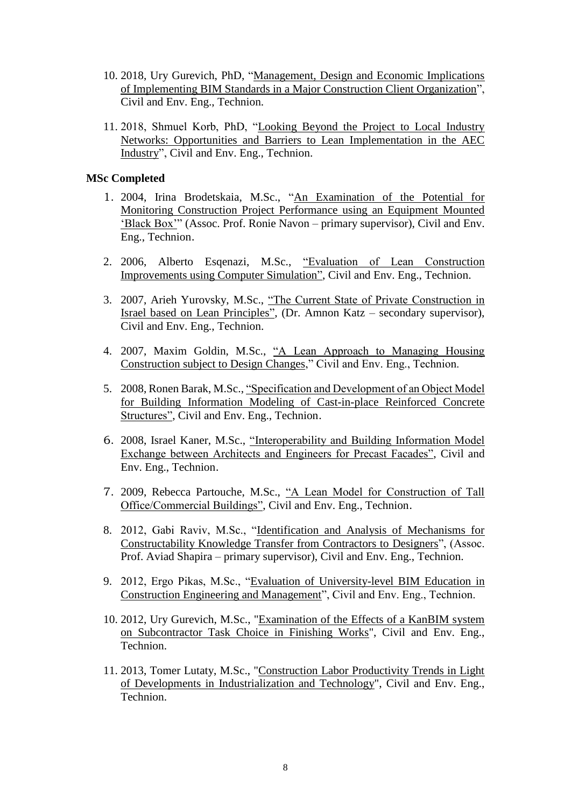- 10. 2018, Ury Gurevich, PhD, "Management, Design and Economic Implications of Implementing BIM Standards in a Major Construction Client Organization", Civil and Env. Eng., Technion.
- 11. 2018, Shmuel Korb, PhD, "Looking Beyond the Project to Local Industry Networks: Opportunities and Barriers to Lean Implementation in the AEC Industry", Civil and Env. Eng., Technion.

#### **MSc Completed**

- 1. 2004, Irina Brodetskaia, M.Sc., "An Examination of the Potential for Monitoring Construction Project Performance using an Equipment Mounted 'Black Box'" (Assoc. Prof. Ronie Navon – primary supervisor), Civil and Env. Eng., Technion.
- 2. 2006, Alberto Esqenazi, M.Sc., "Evaluation of Lean Construction Improvements using Computer Simulation", Civil and Env. Eng., Technion.
- 3. 2007, Arieh Yurovsky, M.Sc., "The Current State of Private Construction in Israel based on Lean Principles", (Dr. Amnon Katz – secondary supervisor), Civil and Env. Eng., Technion.
- 4. 2007, Maxim Goldin, M.Sc., "A Lean Approach to Managing Housing Construction subject to Design Changes," Civil and Env. Eng., Technion.
- 5. 2008, Ronen Barak, M.Sc., "Specification and Development of an Object Model for Building Information Modeling of Cast-in-place Reinforced Concrete Structures", Civil and Env. Eng., Technion.
- 6. 2008, Israel Kaner, M.Sc., "Interoperability and Building Information Model Exchange between Architects and Engineers for Precast Facades", Civil and Env. Eng., Technion.
- 7. 2009, Rebecca Partouche, M.Sc., "A Lean Model for Construction of Tall Office/Commercial Buildings", Civil and Env. Eng., Technion.
- 8. 2012, Gabi Raviv, M.Sc., "Identification and Analysis of Mechanisms for Constructability Knowledge Transfer from Contractors to Designers", (Assoc. Prof. Aviad Shapira – primary supervisor), Civil and Env. Eng., Technion.
- 9. 2012, Ergo Pikas, M.Sc., "Evaluation of University-level BIM Education in Construction Engineering and Management", Civil and Env. Eng., Technion.
- 10. 2012, Ury Gurevich, M.Sc., "Examination of the Effects of a KanBIM system on Subcontractor Task Choice in Finishing Works", Civil and Env. Eng., Technion.
- 11. 2013, Tomer Lutaty, M.Sc., "Construction Labor Productivity Trends in Light of Developments in Industrialization and Technology", Civil and Env. Eng., Technion.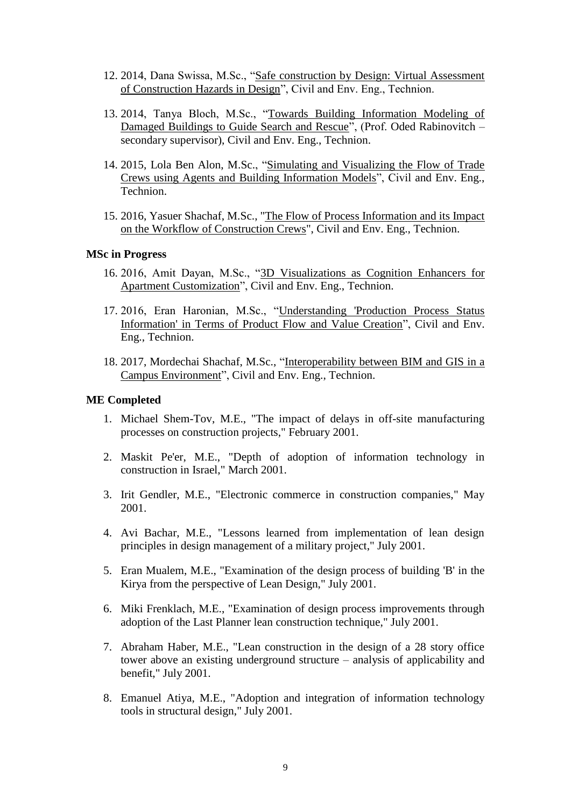- 12. 2014, Dana Swissa, M.Sc., "Safe construction by Design: Virtual Assessment of Construction Hazards in Design", Civil and Env. Eng., Technion.
- 13. 2014, Tanya Bloch, M.Sc., "Towards Building Information Modeling of Damaged Buildings to Guide Search and Rescue", (Prof. Oded Rabinovitch – secondary supervisor), Civil and Env. Eng., Technion.
- 14. 2015, Lola Ben Alon, M.Sc., "Simulating and Visualizing the Flow of Trade Crews using Agents and Building Information Models", Civil and Env. Eng., Technion.
- 15. 2016, Yasuer Shachaf, M.Sc., "The Flow of Process Information and its Impact on the Workflow of Construction Crews", Civil and Env. Eng., Technion.

#### **MSc in Progress**

- 16. 2016, Amit Dayan, M.Sc., "3D Visualizations as Cognition Enhancers for Apartment Customization", Civil and Env. Eng., Technion.
- 17. 2016, Eran Haronian, M.Sc., "Understanding 'Production Process Status Information' in Terms of Product Flow and Value Creation", Civil and Env. Eng., Technion.
- 18. 2017, Mordechai Shachaf, M.Sc., "Interoperability between BIM and GIS in a Campus Environment", Civil and Env. Eng., Technion.

#### **ME Completed**

- 1. Michael Shem-Tov, M.E., "The impact of delays in off-site manufacturing processes on construction projects," February 2001.
- 2. Maskit Pe'er, M.E., "Depth of adoption of information technology in construction in Israel," March 2001.
- 3. Irit Gendler, M.E., "Electronic commerce in construction companies," May 2001.
- 4. Avi Bachar, M.E., "Lessons learned from implementation of lean design principles in design management of a military project," July 2001.
- 5. Eran Mualem, M.E., "Examination of the design process of building 'B' in the Kirya from the perspective of Lean Design," July 2001.
- 6. Miki Frenklach, M.E., "Examination of design process improvements through adoption of the Last Planner lean construction technique," July 2001.
- 7. Abraham Haber, M.E., "Lean construction in the design of a 28 story office tower above an existing underground structure – analysis of applicability and benefit," July 2001.
- 8. Emanuel Atiya, M.E., "Adoption and integration of information technology tools in structural design," July 2001.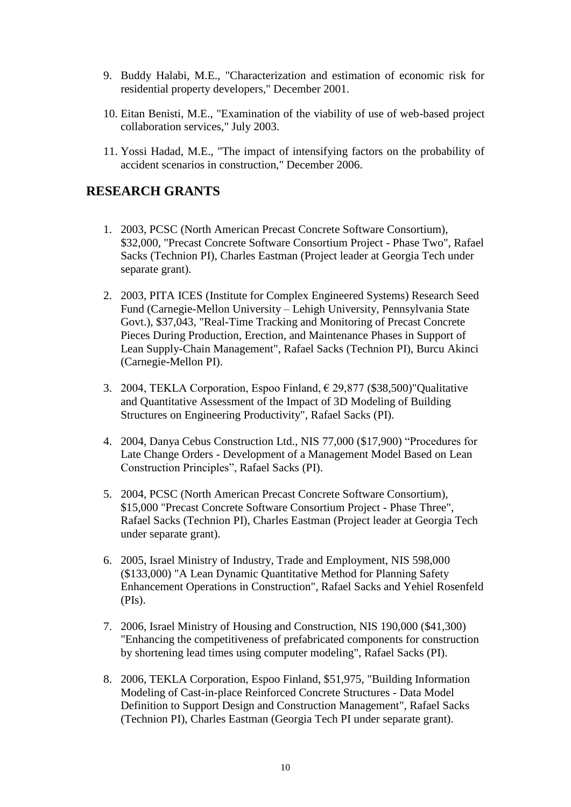- 9. Buddy Halabi, M.E., "Characterization and estimation of economic risk for residential property developers," December 2001.
- 10. Eitan Benisti, M.E., "Examination of the viability of use of web-based project collaboration services," July 2003.
- 11. Yossi Hadad, M.E., "The impact of intensifying factors on the probability of accident scenarios in construction," December 2006.

# **RESEARCH GRANTS**

- 1. 2003, PCSC (North American Precast Concrete Software Consortium), \$32,000, "Precast Concrete Software Consortium Project - Phase Two", Rafael Sacks (Technion PI), Charles Eastman (Project leader at Georgia Tech under separate grant).
- 2. 2003, PITA ICES (Institute for Complex Engineered Systems) Research Seed Fund (Carnegie-Mellon University – Lehigh University, Pennsylvania State Govt.), \$37,043, "Real-Time Tracking and Monitoring of Precast Concrete Pieces During Production, Erection, and Maintenance Phases in Support of Lean Supply-Chain Management", Rafael Sacks (Technion PI), Burcu Akinci (Carnegie-Mellon PI).
- 3. 2004, TEKLA Corporation, Espoo Finland, € 29,877 (\$38,500)"Qualitative and Quantitative Assessment of the Impact of 3D Modeling of Building Structures on Engineering Productivity", Rafael Sacks (PI).
- 4. 2004, Danya Cebus Construction Ltd., NIS 77,000 (\$17,900) "Procedures for Late Change Orders - Development of a Management Model Based on Lean Construction Principles", Rafael Sacks (PI).
- 5. 2004, PCSC (North American Precast Concrete Software Consortium), \$15,000 "Precast Concrete Software Consortium Project - Phase Three", Rafael Sacks (Technion PI), Charles Eastman (Project leader at Georgia Tech under separate grant).
- 6. 2005, Israel Ministry of Industry, Trade and Employment, NIS 598,000 (\$133,000) "A Lean Dynamic Quantitative Method for Planning Safety Enhancement Operations in Construction", Rafael Sacks and Yehiel Rosenfeld  $(PIs)$ .
- 7. 2006, Israel Ministry of Housing and Construction, NIS 190,000 (\$41,300) "Enhancing the competitiveness of prefabricated components for construction by shortening lead times using computer modeling", Rafael Sacks (PI).
- 8. 2006, TEKLA Corporation, Espoo Finland, \$51,975, "Building Information Modeling of Cast-in-place Reinforced Concrete Structures - Data Model Definition to Support Design and Construction Management", Rafael Sacks (Technion PI), Charles Eastman (Georgia Tech PI under separate grant).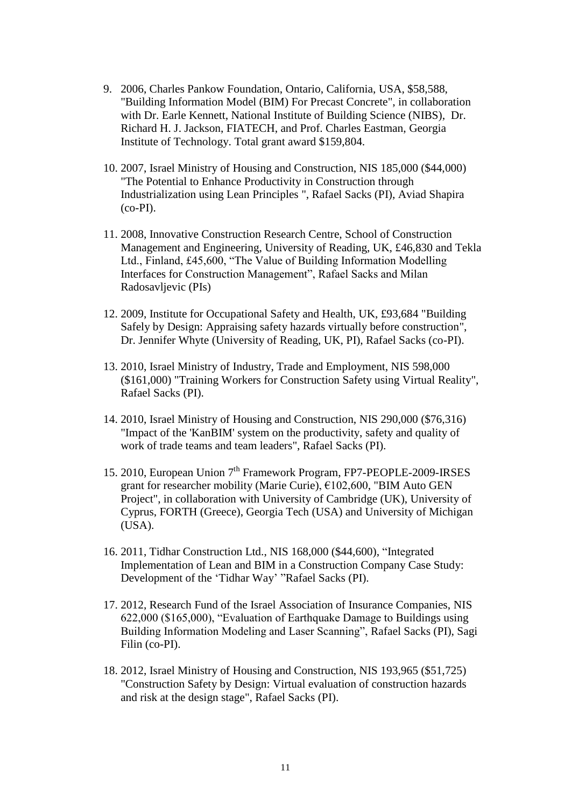- 9. 2006, Charles Pankow Foundation, Ontario, California, USA, \$58,588, "Building Information Model (BIM) For Precast Concrete", in collaboration with Dr. Earle Kennett, National Institute of Building Science (NIBS), Dr. Richard H. J. Jackson, FIATECH, and Prof. Charles Eastman, Georgia Institute of Technology. Total grant award \$159,804.
- 10. 2007, Israel Ministry of Housing and Construction, NIS 185,000 (\$44,000) "The Potential to Enhance Productivity in Construction through Industrialization using Lean Principles ", Rafael Sacks (PI), Aviad Shapira (co-PI).
- 11. 2008, Innovative Construction Research Centre, School of Construction Management and Engineering, University of Reading, UK, £46,830 and Tekla Ltd., Finland, £45,600, "The Value of Building Information Modelling Interfaces for Construction Management", Rafael Sacks and Milan Radosavljevic (PIs)
- 12. 2009, Institute for Occupational Safety and Health, UK, £93,684 "Building Safely by Design: Appraising safety hazards virtually before construction", Dr. Jennifer Whyte (University of Reading, UK, PI), Rafael Sacks (co-PI).
- 13. 2010, Israel Ministry of Industry, Trade and Employment, NIS 598,000 (\$161,000) "Training Workers for Construction Safety using Virtual Reality", Rafael Sacks (PI).
- 14. 2010, Israel Ministry of Housing and Construction, NIS 290,000 (\$76,316) "Impact of the 'KanBIM' system on the productivity, safety and quality of work of trade teams and team leaders", Rafael Sacks (PI).
- 15. 2010, European Union 7<sup>th</sup> Framework Program, FP7-PEOPLE-2009-IRSES grant for researcher mobility (Marie Curie), €102,600, "BIM Auto GEN Project", in collaboration with University of Cambridge (UK), University of Cyprus, FORTH (Greece), Georgia Tech (USA) and University of Michigan (USA).
- 16. 2011, Tidhar Construction Ltd., NIS 168,000 (\$44,600), "Integrated Implementation of Lean and BIM in a Construction Company Case Study: Development of the 'Tidhar Way' "Rafael Sacks (PI).
- 17. 2012, Research Fund of the Israel Association of Insurance Companies, NIS 622,000 (\$165,000), "Evaluation of Earthquake Damage to Buildings using Building Information Modeling and Laser Scanning", Rafael Sacks (PI), Sagi Filin (co-PI).
- 18. 2012, Israel Ministry of Housing and Construction, NIS 193,965 (\$51,725) "Construction Safety by Design: Virtual evaluation of construction hazards and risk at the design stage", Rafael Sacks (PI).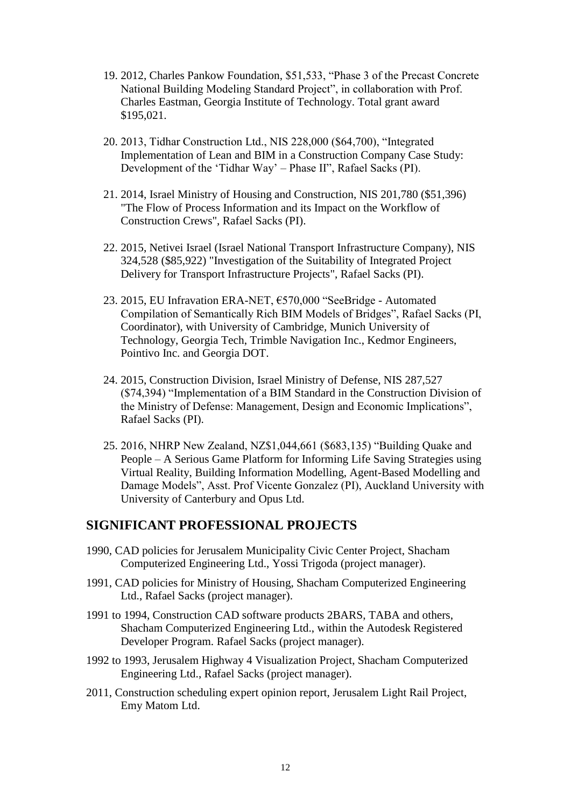- 19. 2012, Charles Pankow Foundation, \$51,533, "Phase 3 of the Precast Concrete National Building Modeling Standard Project", in collaboration with Prof. Charles Eastman, Georgia Institute of Technology. Total grant award \$195,021.
- 20. 2013, Tidhar Construction Ltd., NIS 228,000 (\$64,700), "Integrated Implementation of Lean and BIM in a Construction Company Case Study: Development of the 'Tidhar Way' – Phase II", Rafael Sacks (PI).
- 21. 2014, Israel Ministry of Housing and Construction, NIS 201,780 (\$51,396) "The Flow of Process Information and its Impact on the Workflow of Construction Crews", Rafael Sacks (PI).
- 22. 2015, Netivei Israel (Israel National Transport Infrastructure Company), NIS 324,528 (\$85,922) "Investigation of the Suitability of Integrated Project Delivery for Transport Infrastructure Projects", Rafael Sacks (PI).
- 23. 2015, EU Infravation ERA-NET, €570,000 "SeeBridge Automated Compilation of Semantically Rich BIM Models of Bridges", Rafael Sacks (PI, Coordinator), with University of Cambridge, Munich University of Technology, Georgia Tech, Trimble Navigation Inc., Kedmor Engineers, Pointivo Inc. and Georgia DOT.
- 24. 2015, Construction Division, Israel Ministry of Defense, NIS 287,527 (\$74,394) "Implementation of a BIM Standard in the Construction Division of the Ministry of Defense: Management, Design and Economic Implications", Rafael Sacks (PI).
- 25. 2016, NHRP New Zealand, NZ\$1,044,661 (\$683,135) "Building Quake and People – A Serious Game Platform for Informing Life Saving Strategies using Virtual Reality, Building Information Modelling, Agent-Based Modelling and Damage Models", Asst. Prof Vicente Gonzalez (PI), Auckland University with University of Canterbury and Opus Ltd.

### **SIGNIFICANT PROFESSIONAL PROJECTS**

- 1990, CAD policies for Jerusalem Municipality Civic Center Project, Shacham Computerized Engineering Ltd., Yossi Trigoda (project manager).
- 1991, CAD policies for Ministry of Housing, Shacham Computerized Engineering Ltd., Rafael Sacks (project manager).
- 1991 to 1994, Construction CAD software products 2BARS, TABA and others, Shacham Computerized Engineering Ltd., within the Autodesk Registered Developer Program. Rafael Sacks (project manager).
- 1992 to 1993, Jerusalem Highway 4 Visualization Project, Shacham Computerized Engineering Ltd., Rafael Sacks (project manager).
- 2011, Construction scheduling expert opinion report, Jerusalem Light Rail Project, Emy Matom Ltd.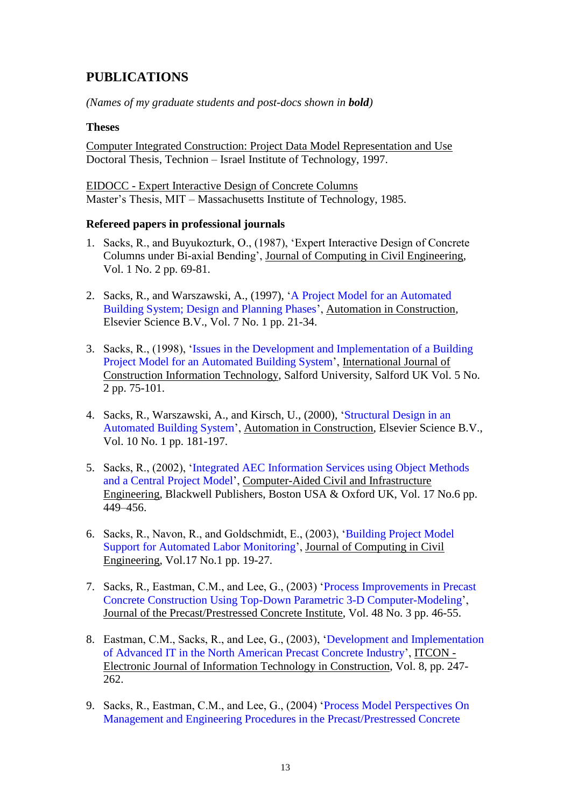# **PUBLICATIONS**

*(Names of my graduate students and post-docs shown in bold)*

### **Theses**

Computer Integrated Construction: Project Data Model Representation and Use Doctoral Thesis, Technion – Israel Institute of Technology, 1997.

EIDOCC - Expert Interactive Design of Concrete Columns Master's Thesis, MIT – Massachusetts Institute of Technology, 1985.

#### **Refereed papers in professional journals**

- 1. Sacks, R., and Buyukozturk, O., (1987), 'Expert Interactive Design of Concrete Columns under Bi-axial Bending', Journal of Computing in Civil Engineering, Vol. 1 No. 2 pp. 69-81.
- 2. Sacks, R., and Warszawski, A., (1997), ['A Project Model for an Automated](http://dx.doi.org/10.1016/S0926-5805(97)00034-4)  [Building System; Design and Planning Phases'](http://dx.doi.org/10.1016/S0926-5805(97)00034-4), Automation in Construction, Elsevier Science B.V., Vol. 7 No. 1 pp. 21-34.
- 3. Sacks, R., (1998), ['Issues in the Development and Implementation of a Building](http://techunix.technion.ac.il/~cvsacks/publications/IJCIT%201998%20-%20Issues%20in%20the%20Development%20and%20Implementation%20of%20a%20Building%20Project%20Model%20for%20an%20Automated%20Building%20System.pdf)  [Project Model for an Automated Building System'](http://techunix.technion.ac.il/~cvsacks/publications/IJCIT%201998%20-%20Issues%20in%20the%20Development%20and%20Implementation%20of%20a%20Building%20Project%20Model%20for%20an%20Automated%20Building%20System.pdf), International Journal of Construction Information Technology, Salford University, Salford UK Vol. 5 No. 2 pp. 75-101.
- 4. Sacks, R., Warszawski, A., and Kirsch, U., (2000), ['Structural Design in an](http://tx.technion.ac.il/~cvsacks/publications/Automation%20in%20Construction%202000%20-%20Structural%20design%20in%20an%20automated%20building%20system.pdf)  [Automated Building System'](http://tx.technion.ac.il/~cvsacks/publications/Automation%20in%20Construction%202000%20-%20Structural%20design%20in%20an%20automated%20building%20system.pdf), Automation in Construction, Elsevier Science B.V., Vol. 10 No. 1 pp. 181-197.
- 5. Sacks, R., (2002), ['Integrated AEC Information Services using Object Methods](http://tx.technion.ac.il/~cvsacks/publications/CACAIE%202002%20-%20Integrated%20AEC%20Information%20Services%20Using%20Object%20Methods%20and%20a%20Central%20Project%20Model.pdf)  [and a Central Project Model'](http://tx.technion.ac.il/~cvsacks/publications/CACAIE%202002%20-%20Integrated%20AEC%20Information%20Services%20Using%20Object%20Methods%20and%20a%20Central%20Project%20Model.pdf), Computer-Aided Civil and Infrastructure Engineering, Blackwell Publishers, Boston USA & Oxford UK, Vol. 17 No.6 pp. 449–456.
- 6. Sacks, R., Navon, R., and Goldschmidt, E., (2003), ['Building Project Model](http://dx.doi.org/10.1061/(ASCE)0887-3801(2003)17:1(19))  [Support for Automated Labor Monitoring'](http://dx.doi.org/10.1061/(ASCE)0887-3801(2003)17:1(19)), Journal of Computing in Civil Engineering, Vol.17 No.1 pp. 19-27.
- 7. Sacks, R., Eastman, C.M., and Lee, G., (2003) ['Process Improvements in Precast](http://www.pci.org/view_file.cfm?file=JL-03-MAY-JUNE-4.pdf)  [Concrete Construction Using Top-Down Parametric 3-D Computer-Modeling'](http://www.pci.org/view_file.cfm?file=JL-03-MAY-JUNE-4.pdf), Journal of the Precast/Prestressed Concrete Institute, Vol. 48 No. 3 pp. 46-55.
- 8. Eastman, C.M., Sacks, R., and Lee, G., (2003), ['Development and Implementation](http://www.itcon.org/2003/18)  [of Advanced IT in the North American Precast Concrete Industry'](http://www.itcon.org/2003/18), ITCON - Electronic Journal of Information Technology in Construction, Vol. 8, pp. 247- 262.
- 9. Sacks, R., Eastman, C.M., and Lee, G., (2004) ['Process Model Perspectives On](http://tx.technion.ac.il/~cvsacks/publications/ASCE%20JoCEM%202003%20-%20Process%20Model%20Perspectives%20on%20management%20and%20Engineering%20Procedures%20in%20the%20Precast-Prestressed%20Concrete%20Industry.pdf)  [Management and Engineering Procedures in the Precast/Prestressed Concrete](http://tx.technion.ac.il/~cvsacks/publications/ASCE%20JoCEM%202003%20-%20Process%20Model%20Perspectives%20on%20management%20and%20Engineering%20Procedures%20in%20the%20Precast-Prestressed%20Concrete%20Industry.pdf)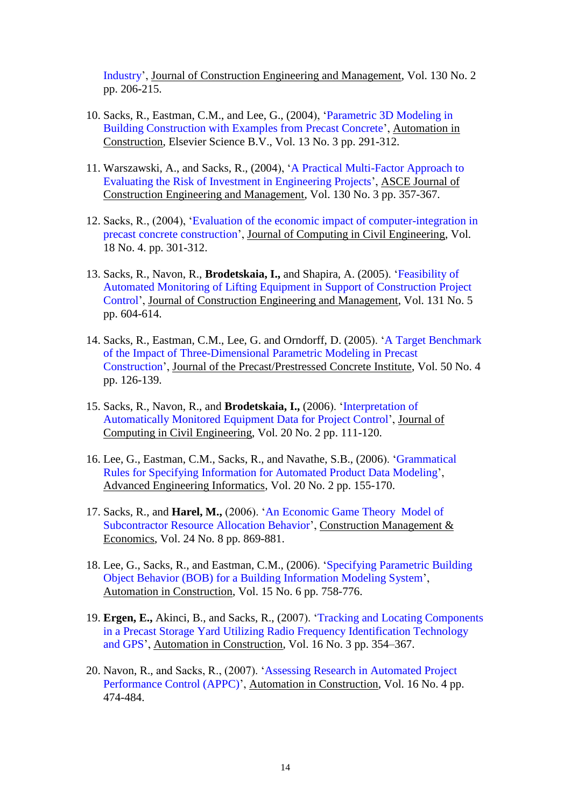[Industry'](http://tx.technion.ac.il/~cvsacks/publications/ASCE%20JoCEM%202003%20-%20Process%20Model%20Perspectives%20on%20management%20and%20Engineering%20Procedures%20in%20the%20Precast-Prestressed%20Concrete%20Industry.pdf), Journal of Construction Engineering and Management, Vol. 130 No. 2 pp. 206-215.

- 10. Sacks, R., Eastman, C.M., and Lee, G., (2004), ['Parametric 3D Modeling in](http://dx.doi.org/10.1016/S0926-5805(03)00043-8)  [Building Construction with Examples from Precast Concrete'](http://dx.doi.org/10.1016/S0926-5805(03)00043-8), Automation in Construction, Elsevier Science B.V., Vol. 13 No. 3 pp. 291-312.
- 11. Warszawski, A., and Sacks, R., (2004), ['A Practical Multi-Factor Approach to](http://techunix.technion.ac.il/~cvsacks/publications/ASCE%20JoCEM%202004%20-%20Practical%20Multifactor%20Approach%20to%20Evaluating%20Risk%20of%20Investment%20in%20Engineering%20Projects.pdf)  [Evaluating the Risk of Investment in Engineering Projects'](http://techunix.technion.ac.il/~cvsacks/publications/ASCE%20JoCEM%202004%20-%20Practical%20Multifactor%20Approach%20to%20Evaluating%20Risk%20of%20Investment%20in%20Engineering%20Projects.pdf), ASCE Journal of Construction Engineering and Management, Vol. 130 No. 3 pp. 357-367.
- 12. Sacks, R., (2004), ['Evaluation of the economic impact of computer-integration](http://techunix.technion.ac.il/~cvsacks/publications/ASCE%20CiCE%202004%20-%20Evaluation%20of%20the%20economic%20impact%20of%203D%20modeling%20in%20precast%20concrete%20engineering.pdf) in [precast concrete construction'](http://techunix.technion.ac.il/~cvsacks/publications/ASCE%20CiCE%202004%20-%20Evaluation%20of%20the%20economic%20impact%20of%203D%20modeling%20in%20precast%20concrete%20engineering.pdf), Journal of Computing in Civil Engineering, Vol. 18 No. 4. pp. 301-312.
- 13. Sacks, R., Navon, R., **Brodetskaia, I.,** and Shapira, A. (2005). ['Feasibility of](http://techunix.technion.ac.il/~cvsacks/publications/ASCE%20JoCEM%202005%20-%20Feasibility%20of%20Automated%20Monitoring%20of%20Lifting%20Equipment.pdf)  [Automated Monitoring of Lifting Equipment in Support of Construction Project](http://techunix.technion.ac.il/~cvsacks/publications/ASCE%20JoCEM%202005%20-%20Feasibility%20of%20Automated%20Monitoring%20of%20Lifting%20Equipment.pdf)  [Control'](http://techunix.technion.ac.il/~cvsacks/publications/ASCE%20JoCEM%202005%20-%20Feasibility%20of%20Automated%20Monitoring%20of%20Lifting%20Equipment.pdf), Journal of Construction Engineering and Management, Vol. 131 No. 5 pp. 604-614.
- 14. Sacks, R., Eastman, C.M., Lee, G. and Orndorff, D. (2005). ['A Target Benchmark](http://www.pci.org/view_file.cfm?file=JL-05-JULY-AUGUST-6.pdf)  [of the Impact of Three-Dimensional](http://www.pci.org/view_file.cfm?file=JL-05-JULY-AUGUST-6.pdf) Parametric Modeling in Precast [Construction'](http://www.pci.org/view_file.cfm?file=JL-05-JULY-AUGUST-6.pdf), Journal of the Precast/Prestressed Concrete Institute, Vol. 50 No. 4 pp. 126-139.
- 15. Sacks, R., Navon, R., and **Brodetskaia, I.,** (2006). ['Interpretation of](http://scitation.aip.org/getpdf/servlet/GetPDFServlet?filetype=pdf&id=JCCEE5000020000002000111000001&idtype=cvips&type=ALERT)  [Automatically Monitored Equipment Data for Project](http://scitation.aip.org/getpdf/servlet/GetPDFServlet?filetype=pdf&id=JCCEE5000020000002000111000001&idtype=cvips&type=ALERT) Control', Journal of Computing in Civil Engineering, Vol. 20 No. 2 pp. 111-120.
- 16. Lee, G., Eastman, C.M., Sacks, R., and Navathe, S.B., (2006). ['Grammatical](http://www.sciencedirect.com/science?_ob=MImg&_imagekey=B6X1X-4JMM07B-6-16&_cdi=7254&_user=32321&_orig=browse&_coverDate=04%2F30%2F2006&_sk=999799997&view=c&wchp=dGLbVlz-zSkWW&md5=83f616ab361e8d5350a664cdb3a46f06&ie=/sdarticle.pdf) [Rules for Specifying Information for Automated Product Data Modeling'](http://www.sciencedirect.com/science?_ob=MImg&_imagekey=B6X1X-4JMM07B-6-16&_cdi=7254&_user=32321&_orig=browse&_coverDate=04%2F30%2F2006&_sk=999799997&view=c&wchp=dGLbVlz-zSkWW&md5=83f616ab361e8d5350a664cdb3a46f06&ie=/sdarticle.pdf), Advanced Engineering Informatics, Vol. 20 No. 2 pp. 155-170.
- 17. Sacks, R., and **Harel, M.,** (2006). ['An Economic Game Theory](http://www.informaworld.com/smpp/content~content=a755199895~db=all~order=page) Model of [Subcontractor Resource Allocation Behavior'](http://www.informaworld.com/smpp/content~content=a755199895~db=all~order=page), Construction Management & Economics, Vol. 24 No. 8 pp. 869-881.
- 18. Lee, G., Sacks, R., and Eastman, C.M., (2006). ['Specifying Parametric Building](http://dx.doi.org/10.1016/j.autcon.2005.09.009)  Object Behavior (BOB) for [a Building Information Modeling System'](http://dx.doi.org/10.1016/j.autcon.2005.09.009), Automation in Construction, Vol. 15 No. 6 pp. 758-776.
- 19. **Ergen, E.,** Akinci, B., and Sacks, R., (2007). ['Tracking and Locating Components](http://dx.doi.org/10.1016/j.autcon.2006.07.004)  [in a Precast Storage Yard Utilizing Radio Frequency Identification Technology](http://dx.doi.org/10.1016/j.autcon.2006.07.004)  [and GPS'](http://dx.doi.org/10.1016/j.autcon.2006.07.004), Automation in Construction, Vol. 16 No. 3 pp. 354–367.
- 20. Navon, R., and Sacks, R., (2007). ['Assessing Research in Automated Project](http://dx.doi.org/10.1016/j.autcon.2006.08.001)  [Performance Control \(APPC\)'](http://dx.doi.org/10.1016/j.autcon.2006.08.001), Automation in Construction, Vol. 16 No. 4 pp. 474-484.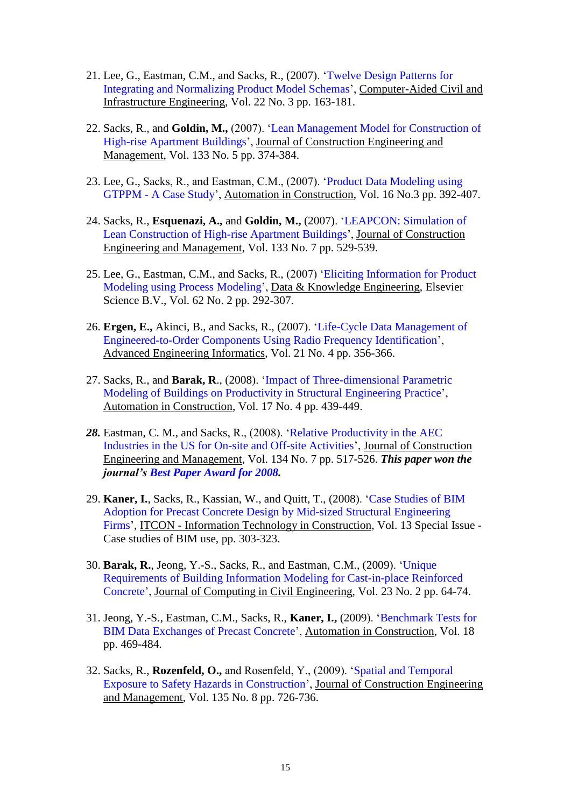- 21. Lee, G., Eastman, C.M., and Sacks, R., (2007). ['Twelve Design Patterns for](http://www.blackwell-synergy.com/doi/pdf/10.1111/j.1467-8667.2007.00475.x)  [Integrating and Normalizing Product](http://www.blackwell-synergy.com/doi/pdf/10.1111/j.1467-8667.2007.00475.x) Model Schemas', Computer-Aided Civil and Infrastructure Engineering, Vol. 22 No. 3 pp. 163-181.
- 22. Sacks, R., and **Goldin, M.,** (2007). ['Lean Management Model for Construction of](http://link.aip.org/link/?QCO/133/374/1)  [High-rise Apartment Buildings'](http://link.aip.org/link/?QCO/133/374/1), Journal of Construction Engineering and Management, Vol. 133 No. 5 pp. 374-384.
- 23. Lee, G., Sacks, R., and Eastman, C.M., (2007). ['Product Data Modeling using](http://dx.doi.org/10.1016/j.autcon.2006.05.004)  GTPPM - [A Case Study'](http://dx.doi.org/10.1016/j.autcon.2006.05.004), Automation in Construction, Vol. 16 No.3 pp. 392-407.
- 24. Sacks, R., **Esquenazi, A.,** and **Goldin, M.,** (2007). ['LEAPCON: Simulation of](http://link.aip.org/link/?QCO/133/529/1)  [Lean Construction of High-rise Apartment Buildings'](http://link.aip.org/link/?QCO/133/529/1), Journal of Construction Engineering and Management, Vol. 133 No. 7 pp. 529-539.
- 25. Lee, G., Eastman, C.M., and Sacks, R., (2007) ['Eliciting Information for Product](http://dx.doi.org/10.1016/j.datak.2006.08.005)  [Modeling using Process Modeling'](http://dx.doi.org/10.1016/j.datak.2006.08.005), Data & Knowledge Engineering, Elsevier Science B.V., Vol. 62 No. 2 pp. 292-307.
- 26. **Ergen, E.,** Akinci, B., and Sacks, R., (2007). ['Life-Cycle Data Management of](http://www.sciencedirect.com/science?_ob=ArticleURL&_udi=B6X1X-4R065NM-4&_user=32321&_coverDate=10%2F31%2F2007&_rdoc=1&_fmt=&_orig=search&_sort=d&view=c&_acct=C000004038&_version=1&_urlVersion=0&_userid=32321&md5=e405d22cefbfe7ead7f5a1877b193c6c)  [Engineered-to-Order Components Using Radio Frequency Identification'](http://www.sciencedirect.com/science?_ob=ArticleURL&_udi=B6X1X-4R065NM-4&_user=32321&_coverDate=10%2F31%2F2007&_rdoc=1&_fmt=&_orig=search&_sort=d&view=c&_acct=C000004038&_version=1&_urlVersion=0&_userid=32321&md5=e405d22cefbfe7ead7f5a1877b193c6c), Advanced Engineering Informatics, Vol. 21 No. 4 pp. 356-366.
- 27. Sacks, R., and **Barak, R**., (2008). ['Impact of Three-dimensional Parametric](http://dx.doi.org/10.1016/j.autcon.2007.08.003)  [Modeling of Buildings on Productivity in Structural Engineering Practice'](http://dx.doi.org/10.1016/j.autcon.2007.08.003), Automation in Construction, Vol. 17 No. 4 pp. 439-449.
- *28.* Eastman, C. M., and Sacks, R., (2008). ['Relative Productivity in the AEC](http://dx.doi.org/10.1061/(ASCE)0733-9364(2008)134:7(517))  [Industries in the US for On-site and Off-site Activities'](http://dx.doi.org/10.1061/(ASCE)0733-9364(2008)134:7(517)), Journal of Construction Engineering and Management, Vol. 134 No. 7 pp. 517-526. *This paper won the journal's [Best Paper Award for 2008.](http://scitation.aip.org/getpdf/servlet/GetPDFServlet?filetype=pdf&id=JCEMD4000135000007000559000001&idtype=cvips&prog=normal)*
- 29. **Kaner, I.**, Sacks, R., Kassian, W., and Quitt, T., (2008). ['Case Studies of BIM](http://www.itcon.org/2008/21)  [Adoption for Precast Concrete Design by Mid-sized Structural Engineering](http://www.itcon.org/2008/21)  [Firms'](http://www.itcon.org/2008/21), ITCON - Information Technology in Construction, Vol. 13 Special Issue - Case studies of BIM use, pp. 303-323.
- 30. **Barak, R.**, Jeong, Y.-S., Sacks, R., and Eastman, C.M., (2009). ['Unique](http://dx.doi.org/10.1061/(ASCE)0887-3801(2009)23:2(64))  [Requirements of Building Information Modeling for Cast-in-place Reinforced](http://dx.doi.org/10.1061/(ASCE)0887-3801(2009)23:2(64))  [Concrete'](http://dx.doi.org/10.1061/(ASCE)0887-3801(2009)23:2(64)), Journal of Computing in Civil Engineering, Vol. 23 No. 2 pp. 64-74.
- 31. Jeong, Y.-S., Eastman, C.M., Sacks, R., **Kaner, I.,** (2009). ['Benchmark Tests for](http://dx.doi.org/10.1016/j.autcon.2008.11.001)  [BIM Data Exchanges of Precast Concrete'](http://dx.doi.org/10.1016/j.autcon.2008.11.001), Automation in Construction, Vol. 18 pp. 469-484.
- 32. Sacks, R., **Rozenfeld, O.,** and Rosenfeld, Y., (2009). ['Spatial and Temporal](http://dx.doi.org/10.1061/(ASCE)0733-9364(2009)135:8(726))  [Exposure to Safety Hazards in Construction'](http://dx.doi.org/10.1061/(ASCE)0733-9364(2009)135:8(726)), Journal of Construction Engineering and Management, Vol. 135 No. 8 pp. 726-736.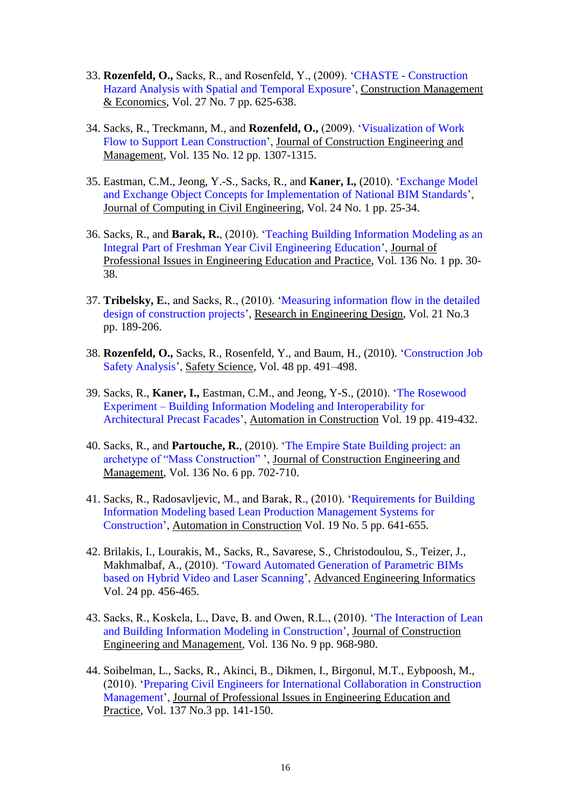- 33. **Rozenfeld, O.,** Sacks, R., and Rosenfeld, Y., (2009). 'CHASTE [Construction](http://dx.doi.org/10.1080/01446190903002771)  [Hazard Analysis with Spatial and Temporal Exposure'](http://dx.doi.org/10.1080/01446190903002771), Construction Management & Economics, Vol. [27](http://www.informaworld.com/smpp/title~db=all~content=t713664979~tab=issueslist~branches=27#v27) No. [7](http://www.informaworld.com/smpp/title~db=all~content=g914044637) pp. 625-638.
- 34. Sacks, R., Treckmann, M., and **Rozenfeld, O.,** (2009). ['Visualization of Work](http://dx.doi.org/10.1061/(ASCE)CO.1943-7862.0000102)  [Flow to Support Lean Construction'](http://dx.doi.org/10.1061/(ASCE)CO.1943-7862.0000102), Journal of Construction Engineering and Management, Vol. 135 No. 12 pp. 1307-1315.
- 35. Eastman, C.M., Jeong, Y.-S., Sacks, R., and **Kaner, I.,** (2010). ['Exchange Model](http://dx.doi.org/10.1061/(ASCE)0887-3801(2010)24:1(25))  [and Exchange Object Concepts for Implementation of National BIM Standards'](http://dx.doi.org/10.1061/(ASCE)0887-3801(2010)24:1(25)), Journal of Computing in Civil Engineering, Vol. 24 No. 1 pp. 25-34.
- 36. Sacks, R., and **Barak, R.**, (2010). ['Teaching Building Information Modeling as an](http://dx.doi.org/10.1061/(ASCE)EI.1943-5541.0000003)  [Integral Part of Freshman Year Civil Engineering Education'](http://dx.doi.org/10.1061/(ASCE)EI.1943-5541.0000003), Journal of Professional Issues in Engineering Education and Practice, Vol. 136 No. 1 pp. 30- 38.
- 37. **Tribelsky, E.**, and Sacks, R., (2010). ['Measuring information flow in](http://dx.doi.org/10.1007/s00163-009-0084-3) the detailed [design of construction projects'](http://dx.doi.org/10.1007/s00163-009-0084-3), Research in Engineering Design, Vol. 21 No.3 pp. 189-206.
- 38. **Rozenfeld, O.,** Sacks, R., Rosenfeld, Y., and Baum, H., (2010). ['Construction Job](http://dx.doi.org/10.1016/j.ssci.2009.12.017)  [Safety Analysis'](http://dx.doi.org/10.1016/j.ssci.2009.12.017), Safety Science, Vol. 48 pp. 491–498.
- 39. Sacks, R., **Kaner, I.,** Eastman, C.M., and Jeong, Y-S., (2010). ['The Rosewood](http://dx.doi.org/10.1016/j.autcon.2009.11.012)  Experiment – [Building Information Modeling and Interoperability for](http://dx.doi.org/10.1016/j.autcon.2009.11.012)  [Architectural Precast Facades'](http://dx.doi.org/10.1016/j.autcon.2009.11.012), Automation in Construction Vol. 19 pp. 419-432.
- 40. Sacks, R., and **Partouche, R.**, (2010). ['The Empire State Building project: an](http://dx.doi.org/10.1061/(ASCE)CO.1943-7862.0000162)  [archetype of "Mass Construction"](http://dx.doi.org/10.1061/(ASCE)CO.1943-7862.0000162) ', Journal of Construction Engineering and Management, Vol. 136 No. 6 pp. 702-710.
- 41. Sacks, R., Radosavljevic, M., and Barak, R., (2010). ['Requirements](http://dx.doi.org/10.1016/j.autcon.2010.02.010) for Building [Information Modeling based Lean Production Management Systems for](http://dx.doi.org/10.1016/j.autcon.2010.02.010)  [Construction'](http://dx.doi.org/10.1016/j.autcon.2010.02.010), Automation in Construction Vol. 19 No. 5 pp. 641-655.
- 42. Brilakis, I., Lourakis, M., Sacks, R., Savarese, S., Christodoulou, S., Teizer, J., Makhmalbaf, A., (2010). ['Toward Automated Generation of Parametric BIMs](http://dx.doi.org/10.1016/j.aei.2010.06.006)  [based on Hybrid Video and Laser Scanning'](http://dx.doi.org/10.1016/j.aei.2010.06.006), Advanced Engineering Informatics Vol. 24 pp. 456-465.
- 43. Sacks, R., Koskela, L., Dave, B. and Owen, R.L., (2010). ['The Interaction of Lean](http://dx.doi.org/10.1061/(ASCE)CO.1943-7862.0000203)  [and Building Information Modeling in Construction'](http://dx.doi.org/10.1061/(ASCE)CO.1943-7862.0000203), Journal of Construction Engineering and Management, Vol. 136 No. 9 pp. 968-980.
- 44. Soibelman, L., Sacks, R., Akinci, B., Dikmen, I., Birgonul, M.T., Eybpoosh, M., (2010). ['Preparing Civil Engineers for International Collaboration in Construction](http://link.aip.org/link/?QPI/137/141)  [Management'](http://link.aip.org/link/?QPI/137/141), Journal of Professional Issues in Engineering Education and Practice, Vol. 137 No.3 pp. 141-150.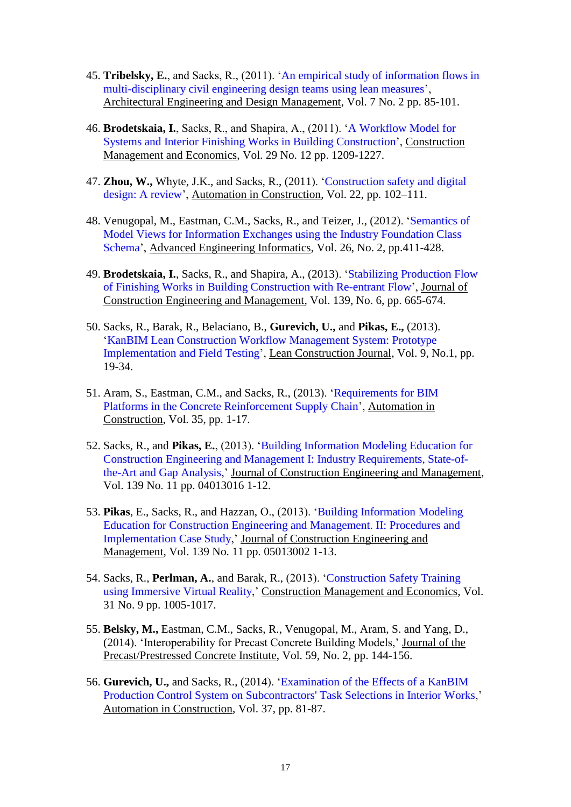- 45. **Tribelsky, E.**, and Sacks, R., (2011). ['An empirical study of information flows in](http://earthscan.publisher.ingentaconnect.com/content/earthscan/aedm/2011/00000007/00000002/art00003)  [multi-disciplinary civil engineering design teams using lean measures'](http://earthscan.publisher.ingentaconnect.com/content/earthscan/aedm/2011/00000007/00000002/art00003), Architectural Engineering and Design Management, Vol. 7 No. 2 pp. 85-101.
- 46. **Brodetskaia, I.**, Sacks, R., and Shapira, A., (2011). ['A Workflow Model for](http://dx.doi.org/10.1080/01446193.2011.647829)  [Systems and Interior Finishing Works in Building Construction'](http://dx.doi.org/10.1080/01446193.2011.647829), Construction Management and Economics, Vol. 29 No. 12 pp. 1209-1227.
- 47. **Zhou, W.,** Whyte, J.K., and Sacks, R., (2011). ['Construction safety and digital](http://dx.doi.org/10.1016/j.autcon.2011.07.005)  [design: A review'](http://dx.doi.org/10.1016/j.autcon.2011.07.005), Automation in Construction, Vol. 22, pp. 102–111.
- 48. Venugopal, M., Eastman, C.M., Sacks, R., and Teizer, J., (2012). ['Semantics of](http://dx.doi.org/10.1016/j.aei.2012.01.005)  [Model Views for Information Exchanges using the Industry Foundation Class](http://dx.doi.org/10.1016/j.aei.2012.01.005)  [Schema'](http://dx.doi.org/10.1016/j.aei.2012.01.005), Advanced Engineering Informatics, Vol. 26, No. 2, pp.411-428.
- 49. **Brodetskaia, I.**, Sacks, R., and Shapira, A., (2013). ['Stabilizing Production Flow](http://dx.doi.org/10.1061/(ASCE)CO.1943-7862.0000595)  [of Finishing Works in Building Construction with Re-entrant Flow'](http://dx.doi.org/10.1061/(ASCE)CO.1943-7862.0000595), Journal of Construction Engineering and Management, Vol. 139, No. 6, pp. 665-674.
- 50. Sacks, R., Barak, R., Belaciano, B., **Gurevich, U.,** and **Pikas, E.,** (2013). 'KanBIM [Lean Construction Workflow Management System: Prototype](http://www.leanconstruction.org/media/docs/lcj/2013/LCJ_12_004.pdf)  [Implementation and Field Testing'](http://www.leanconstruction.org/media/docs/lcj/2013/LCJ_12_004.pdf), Lean Construction Journal, Vol. 9, No.1, pp. 19-34.
- 51. Aram, S., Eastman, C.M., and Sacks, R., (2013). ['Requirements for BIM](http://dx.doi.org/10.1016/j.autcon.2013.01.013)  [Platforms in the Concrete Reinforcement Supply Chain'](http://dx.doi.org/10.1016/j.autcon.2013.01.013), Automation in Construction, Vol. 35, pp. 1-17.
- 52. Sacks, R., and **Pikas, E.**, (2013). ['Building Information Modeling Education for](http://ascelibrary.org/doi/abs/10.1061/(ASCE)CO.1943-7862.0000759)  [Construction Engineering and Management](http://ascelibrary.org/doi/abs/10.1061/(ASCE)CO.1943-7862.0000759) I: Industry Requirements, State-of[the-Art and Gap Analysis,](http://ascelibrary.org/doi/abs/10.1061/(ASCE)CO.1943-7862.0000759)' Journal of Construction Engineering and Management, Vol. 139 No. 11 pp. 04013016 1-12.
- 53. **Pikas**, E., Sacks, R., and Hazzan, O., (2013). ['Building Information Modeling](http://ascelibrary.org/doi/abs/10.1061/%28ASCE%29CO.1943-7862.0000765)  [Education for Construction Engineering and Management. II: Procedures and](http://ascelibrary.org/doi/abs/10.1061/%28ASCE%29CO.1943-7862.0000765)  [Implementation Case Study,](http://ascelibrary.org/doi/abs/10.1061/%28ASCE%29CO.1943-7862.0000765)' Journal of Construction Engineering and Management, Vol. 139 No. 11 pp. 05013002 1-13.
- 54. Sacks, R., **Perlman, A.**, and Barak, R., (2013). ['Construction Safety Training](http://www.tandfonline.com/doi/full/10.1080/01446193.2013.828844)  [using Immersive Virtual Reality,](http://www.tandfonline.com/doi/full/10.1080/01446193.2013.828844)' Construction Management and Economics, Vol. 31 No. 9 pp. 1005-1017.
- 55. **Belsky, M.,** Eastman, C.M., Sacks, R., Venugopal, M., Aram, S. and Yang, D., (2014). 'Interoperability for Precast Concrete Building Models,' Journal of the Precast/Prestressed Concrete Institute, Vol. 59, No. 2, pp. 144-156.
- 56. **Gurevich, U.,** and Sacks, R., (2014). ['Examination of the Effects of a KanBIM](http://dx.doi.org/10.1016/j.autcon.2013.10.003) [Production Control System on Subcontractors' Task Selections in Interior Works,](http://dx.doi.org/10.1016/j.autcon.2013.10.003)' Automation in Construction, Vol. 37, pp. 81-87.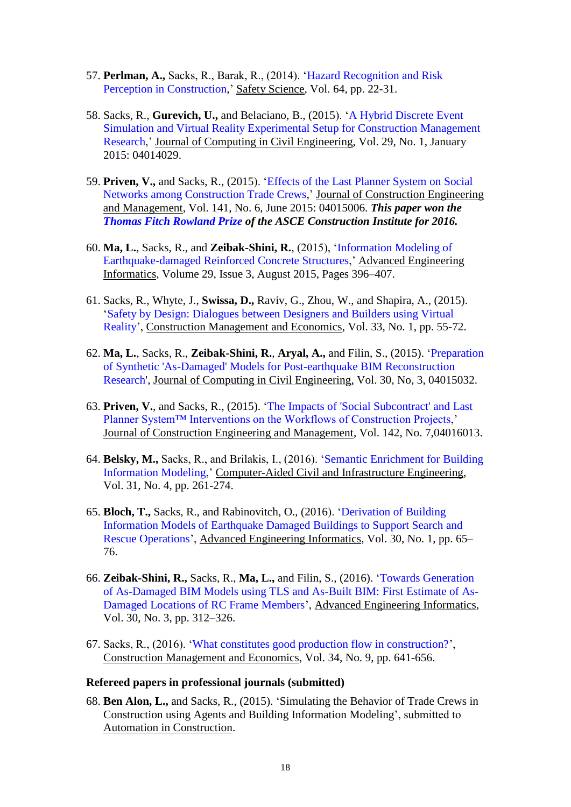- 57. **Perlman, A.,** Sacks, R., Barak, R., (2014). ['Hazard Recognition and Risk](http://dx.doi.org/10.1016/j.ssci.2013.11.019)  [Perception in Construction,](http://dx.doi.org/10.1016/j.ssci.2013.11.019)' Safety Science, Vol. 64, pp. 22-31.
- 58. Sacks, R., **Gurevich, U.,** and Belaciano, B., (2015). ['A Hybrid Discrete Event](http://ascelibrary.org/doi/abs/10.1061/%28ASCE%29CP.1943-5487.0000366)  [Simulation and Virtual Reality Experimental Setup for Construction Management](http://ascelibrary.org/doi/abs/10.1061/%28ASCE%29CP.1943-5487.0000366)  [Research,](http://ascelibrary.org/doi/abs/10.1061/%28ASCE%29CP.1943-5487.0000366)' Journal of Computing in Civil Engineering, Vol. 29, No. 1, January 2015: 04014029.
- 59. **Priven, V.,** and Sacks, R., (2015). ['Effects of the Last Planner System](http://ascelibrary.org/doi/abs/10.1061/%28ASCE%29CO.1943-7862.0000975) on Social [Networks among Construction Trade Crews,](http://ascelibrary.org/doi/abs/10.1061/%28ASCE%29CO.1943-7862.0000975)' Journal of Construction Engineering and Management, Vol. 141, No. 6, June 2015: 04015006. *This paper won the [Thomas Fitch Rowland Prize](http://www.asce.org/templates/award-detail.aspx?id=6698) of the ASCE Construction Institute for 2016.*
- 60. **Ma, L.**, Sacks, R., and **Zeibak-Shini, R.**, (2015), ['Information Modeling of](http://www.sciencedirect.com/science/article/pii/S1474034615000191)  [Earthquake-damaged Reinforced Concrete Structures,](http://www.sciencedirect.com/science/article/pii/S1474034615000191)' Advanced Engineering Informatics, Volume 29, Issue 3, August 2015, Pages 396–407.
- 61. Sacks, R., Whyte, J., **Swissa, D.,** Raviv, G., Zhou, W., and Shapira, A., (2015). ['Safety by Design: Dialogues between Designers and Builders using Virtual](http://dx.doi.org/10.1080/01446193.2015.1029504)  [Reality'](http://dx.doi.org/10.1080/01446193.2015.1029504), Construction Management and Economics, Vol. 33, No. 1, pp. 55-72.
- 62. **Ma, L.**, Sacks, R., **Zeibak-Shini, R.**, **Aryal, A.,** and Filin, S., (2015). ['Preparation](http://ascelibrary.org/doi/abs/10.1061/%28ASCE%29CP.1943-5487.0000500)  [of Synthetic 'As-Damaged' Models for Post-earthquake BIM Reconstruction](http://ascelibrary.org/doi/abs/10.1061/%28ASCE%29CP.1943-5487.0000500)  [Research',](http://ascelibrary.org/doi/abs/10.1061/%28ASCE%29CP.1943-5487.0000500) Journal of Computing in Civil Engineering, Vol. 30, No, 3, 04015032.
- 63. **Priven, V.**, and Sacks, R., (2015). ['The Impacts of 'Social Subcontract' and Last](http://ascelibrary.org/doi/abs/10.1061/%28ASCE%29CO.1943-7862.0001102)  [Planner System™ Interventions on the Workflows of Construction Projects,](http://ascelibrary.org/doi/abs/10.1061/%28ASCE%29CO.1943-7862.0001102)' Journal of Construction Engineering and Management, Vol. 142, No. 7,04016013.
- 64. **Belsky, M.,** Sacks, R., and Brilakis, I., (2016). ['Semantic Enrichment for Building](http://onlinelibrary.wiley.com/doi/10.1111/mice.12128/abstract)  [Information Modeling,](http://onlinelibrary.wiley.com/doi/10.1111/mice.12128/abstract)' Computer-Aided Civil and Infrastructure Engineering, Vol. 31, No. 4, pp. 261-274.
- 65. **Bloch, T.,** Sacks, R., and Rabinovitch, O., (2016). ['Derivation of Building](http://dx.doi.org/10.1016/j.aei.2015.12.001)  [Information Models of Earthquake Damaged Buildings to Support Search and](http://dx.doi.org/10.1016/j.aei.2015.12.001)  [Rescue Operations'](http://dx.doi.org/10.1016/j.aei.2015.12.001), Advanced Engineering Informatics, Vol. 30, No. 1, pp. 65– 76.
- 66. **Zeibak-Shini, R.,** Sacks, R., **Ma, L.,** and Filin, S., (2016). ['Towards Generation](http://dx.doi.org/10.1016/j.aei.2016.04.001)  [of As-Damaged BIM Models using TLS and As-Built BIM: First Estimate of As-](http://dx.doi.org/10.1016/j.aei.2016.04.001)[Damaged Locations of RC Frame Members'](http://dx.doi.org/10.1016/j.aei.2016.04.001), Advanced Engineering Informatics, Vol. 30, No. 3, pp. 312–326.
- 67. Sacks, R., (2016). ['What constitutes good production flow in construction?'](http://www.tandfonline.com/doi/full/10.1080/01446193.2016.1200733), Construction Management and Economics, Vol. 34, No. 9, pp. 641-656.

#### **Refereed papers in professional journals (submitted)**

68. **Ben Alon, L.,** and Sacks, R., (2015). 'Simulating the Behavior of Trade Crews in Construction using Agents and Building Information Modeling', submitted to Automation in Construction.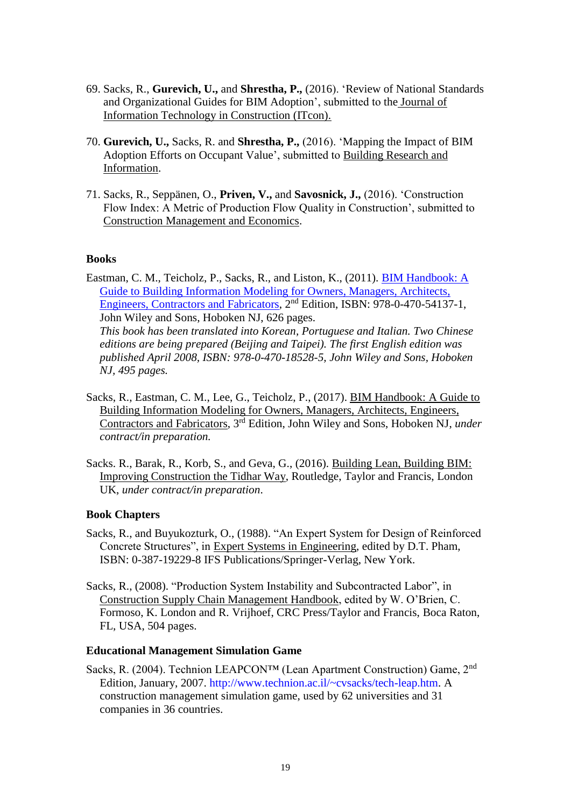- 69. Sacks, R., **Gurevich, U.,** and **Shrestha, P.,** (2016). 'Review of National Standards and Organizational Guides for BIM Adoption', submitted to the Journal of Information Technology in Construction (ITcon).
- 70. **Gurevich, U.,** Sacks, R. and **Shrestha, P.,** (2016). 'Mapping the Impact of BIM Adoption Efforts on Occupant Value', submitted to Building Research and Information.
- 71. Sacks, R., Seppänen, O., **Priven, V.,** and **Savosnick, J.,** (2016). 'Construction Flow Index: A Metric of Production Flow Quality in Construction', submitted to Construction Management and Economics.

#### **Books**

Eastman, C. M., Teicholz, P., Sacks, R., and Liston, K., (2011). [BIM Handbook: A](http://eu.wiley.com/WileyCDA/WileyTitle/productCd-0470185287.html)  [Guide to Building Information Modeling for Owners, Managers, Architects,](http://eu.wiley.com/WileyCDA/WileyTitle/productCd-0470185287.html)  [Engineers, Contractors and Fabricators,](http://eu.wiley.com/WileyCDA/WileyTitle/productCd-0470185287.html) 2nd Edition, ISBN: 978-0-470-54137-1, John Wiley and Sons, Hoboken NJ, 626 pages. *This book has been translated into Korean, Portuguese and Italian. Two Chinese editions are being prepared (Beijing and Taipei). The first English edition was published April 2008, ISBN: 978-0-470-18528-5, John Wiley and Sons, Hoboken NJ, 495 pages.*

- Sacks, R., Eastman, C. M., Lee, G., Teicholz, P., (2017). BIM Handbook: A Guide to Building Information Modeling for Owners, Managers, Architects, Engineers, Contractors and Fabricators, 3 rd Edition, John Wiley and Sons, Hoboken NJ, *under contract/in preparation.*
- Sacks. R., Barak, R., Korb, S., and Geva, G., (2016). Building Lean, Building BIM: Improving Construction the Tidhar Way, Routledge, Taylor and Francis, London UK, *under contract/in preparation*.

#### **Book Chapters**

- Sacks, R., and Buyukozturk, O., (1988). "An Expert System for Design of Reinforced Concrete Structures", in Expert Systems in Engineering, edited by D.T. Pham, ISBN: 0-387-19229-8 IFS Publications/Springer-Verlag, New York.
- Sacks, R., (2008). "Production System Instability and Subcontracted Labor", in Construction Supply Chain Management Handbook, edited by W. O'Brien, C. Formoso, K. London and R. Vrijhoef, CRC Press/Taylor and Francis, Boca Raton, FL, USA, 504 pages.

#### **Educational Management Simulation Game**

Sacks, R. (2004). Technion LEAPCON™ (Lean Apartment Construction) Game, 2nd Edition, January, 2007. [http://www.technion.ac.il/~cvsacks/tech-leap.htm.](http://www.technion.ac.il/~cvsacks/tech-leap.htm) A construction management simulation game, used by 62 universities and 31 companies in 36 countries.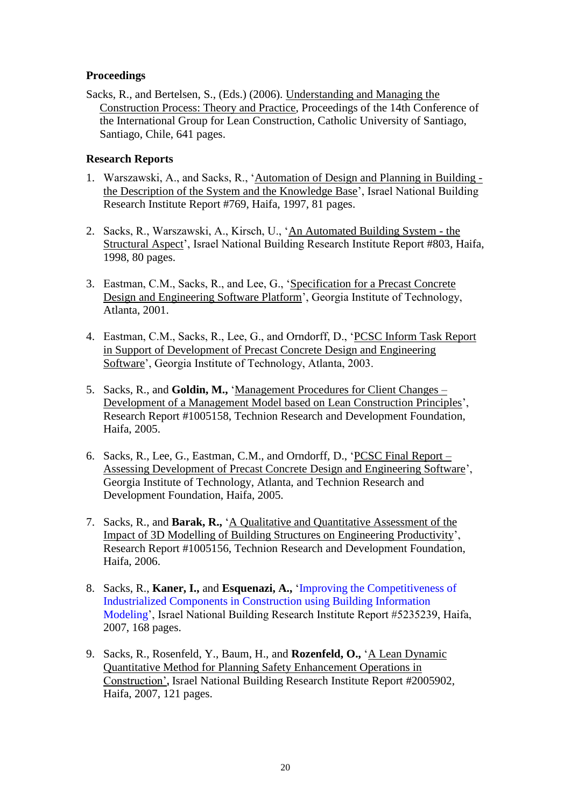### **Proceedings**

Sacks, R., and Bertelsen, S., (Eds.) (2006). Understanding and Managing the Construction Process: Theory and Practice, Proceedings of the 14th Conference of the International Group for Lean Construction, Catholic University of Santiago, Santiago, Chile, 641 pages.

#### **Research Reports**

- 1. Warszawski, A., and Sacks, R., 'Automation of Design and Planning in Building the Description of the System and the Knowledge Base', Israel National Building Research Institute Report #769, Haifa, 1997, 81 pages.
- 2. Sacks, R., Warszawski, A., Kirsch, U., 'An Automated Building System the Structural Aspect', Israel National Building Research Institute Report #803, Haifa, 1998, 80 pages.
- 3. Eastman, C.M., Sacks, R., and Lee, G., 'Specification for a Precast Concrete Design and Engineering Software Platform', Georgia Institute of Technology, Atlanta, 2001.
- 4. Eastman, C.M., Sacks, R., Lee, G., and Orndorff, D., 'PCSC Inform Task Report in Support of Development of Precast Concrete Design and Engineering Software', Georgia Institute of Technology, Atlanta, 2003.
- 5. Sacks, R., and **Goldin, M.,** 'Management Procedures for Client Changes Development of a Management Model based on Lean Construction Principles', Research Report #1005158, Technion Research and Development Foundation, Haifa, 2005.
- 6. Sacks, R., Lee, G., Eastman, C.M., and Orndorff, D., 'PCSC Final Report Assessing Development of Precast Concrete Design and Engineering Software', Georgia Institute of Technology, Atlanta, and Technion Research and Development Foundation, Haifa, 2005.
- 7. Sacks, R., and **Barak, R.,** 'A Qualitative and Quantitative Assessment of the Impact of 3D Modelling of Building Structures on Engineering Productivity', Research Report #1005156, Technion Research and Development Foundation, Haifa, 2006.
- 8. Sacks, R., **Kaner, I.,** and **Esquenazi, A.,** ['Improving the Competitiveness of](http://www.moch.gov.il/SiteCollectionDocuments/research/r0005.pdf)  [Industrialized Components in Construction using Building Information](http://www.moch.gov.il/SiteCollectionDocuments/research/r0005.pdf)  [Modeling'](http://www.moch.gov.il/SiteCollectionDocuments/research/r0005.pdf), Israel National Building Research Institute Report #5235239, Haifa, 2007, 168 pages.
- 9. Sacks, R., Rosenfeld, Y., Baum, H., and **Rozenfeld, O.,** 'A Lean Dynamic Quantitative Method for Planning Safety Enhancement Operations in Construction'**,** Israel National Building Research Institute Report #2005902, Haifa, 2007, 121 pages.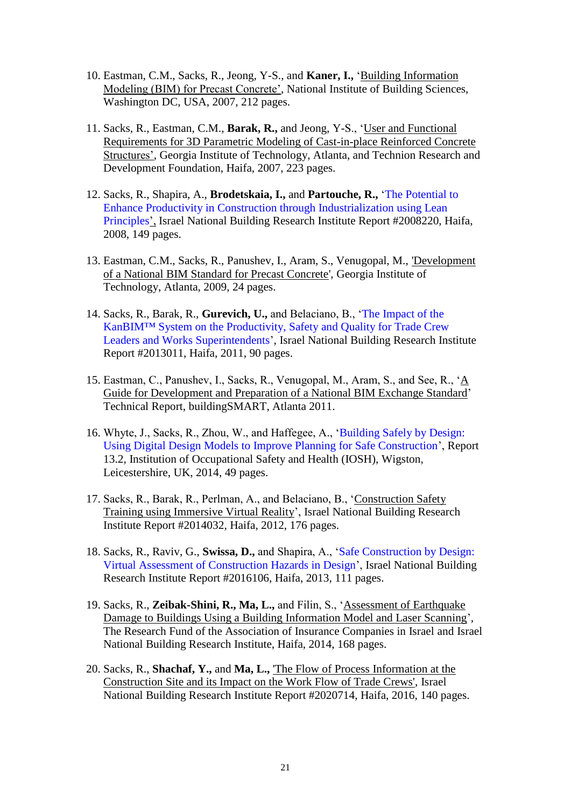- 10. Eastman, C.M., Sacks, R., Jeong, Y-S., and **Kaner, I.,** 'Building Information Modeling (BIM) for Precast Concrete', National Institute of Building Sciences, Washington DC, USA, 2007, 212 pages.
- 11. Sacks, R., Eastman, C.M., **Barak, R.,** and Jeong, Y-S., 'User and Functional Requirements for 3D Parametric Modeling of Cast-in-place Reinforced Concrete Structures', Georgia Institute of Technology, Atlanta, and Technion Research and Development Foundation, Haifa, 2007, 223 pages.
- 12. Sacks, R., Shapira, A., **Brodetskaia, I.,** and **Partouche, R.,** ['The Potential to](http://www.moch.gov.il/SiteCollectionDocuments/research/r1025.pdf)  [Enhance Productivity in Construction through Industrialization using Lean](http://www.moch.gov.il/SiteCollectionDocuments/research/r1025.pdf)  [Principles'](http://www.moch.gov.il/SiteCollectionDocuments/research/r1025.pdf), Israel National Building Research Institute Report #2008220, Haifa, 2008, 149 pages.
- 13. Eastman, C.M., Sacks, R., Panushev, I., Aram, S., Venugopal, M., 'Development of a National BIM Standard for Precast Concrete', Georgia Institute of Technology, Atlanta, 2009, 24 pages.
- 14. Sacks, R., Barak, R., **Gurevich, U.,** and Belaciano, B., ['The Impact of the](http://www.moch.gov.il/SiteCollectionDocuments/research/r0989.pdf)  KanBIM™ [System on the Productivity, Safety and Quality for Trade Crew](http://www.moch.gov.il/SiteCollectionDocuments/research/r0989.pdf)  [Leaders and Works Superintendents'](http://www.moch.gov.il/SiteCollectionDocuments/research/r0989.pdf), Israel National Building Research Institute Report #2013011, Haifa, 2011, 90 pages.
- 15. Eastman, C., Panushev, I., Sacks, R., Venugopal, M., Aram, S., and See, R., 'A Guide for Development and Preparation of a National BIM Exchange Standard' Technical Report, buildingSMART, Atlanta 2011.
- 16. Whyte, J., Sacks, R., Zhou, W., and Haffegee, A., ['Building Safely by Design:](https://www.iosh.co.uk/~/media/Documents/Books%20and%20resources/Published%20research/Building%20safely%20by%20design.ashx)  [Using Digital Design Models to Improve Planning for Safe Construction'](https://www.iosh.co.uk/~/media/Documents/Books%20and%20resources/Published%20research/Building%20safely%20by%20design.ashx), Report 13.2, Institution of Occupational Safety and Health (IOSH), Wigston, Leicestershire, UK, 2014, 49 pages.
- 17. Sacks, R., Barak, R., Perlman, A., and Belaciano, B., 'Construction Safety Training using Immersive Virtual Reality', Israel National Building Research Institute Report #2014032, Haifa, 2012, 176 pages.
- 18. Sacks, R., Raviv, G., **Swissa, D.,** and Shapira, A., ['Safe Construction by Design:](http://www.moch.gov.il/SiteCollectionDocuments/research/r1002.pdf)  [Virtual Assessment of Construction Hazards in Design'](http://www.moch.gov.il/SiteCollectionDocuments/research/r1002.pdf), Israel National Building Research Institute Report #2016106, Haifa, 2013, 111 pages.
- 19. Sacks, R., **Zeibak-Shini, R., Ma, L.,** and Filin, S., 'Assessment of Earthquake Damage to Buildings Using a Building Information Model and Laser Scanning', The Research Fund of the Association of Insurance Companies in Israel and Israel National Building Research Institute, Haifa, 2014, 168 pages.
- 20. Sacks, R., **Shachaf, Y.,** and **Ma, L.,** 'The Flow of Process Information at the Construction Site and its Impact on the Work Flow of Trade Crews', Israel National Building Research Institute Report #2020714, Haifa, 2016, 140 pages.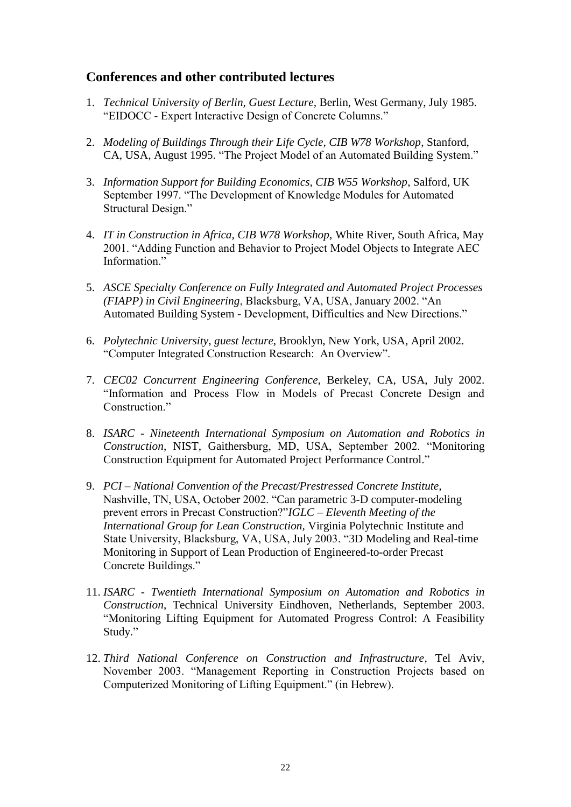## **Conferences and other contributed lectures**

- 1. *Technical University of Berlin, Guest Lecture,* Berlin, West Germany, July 1985. "EIDOCC - Expert Interactive Design of Concrete Columns."
- 2. *Modeling of Buildings Through their Life Cycle, CIB W78 Workshop*, Stanford, CA, USA, August 1995. "The Project Model of an Automated Building System."
- 3. *Information Support for Building Economics, CIB W55 Workshop*, Salford, UK September 1997. "The Development of Knowledge Modules for Automated Structural Design."
- 4. *IT in Construction in Africa, CIB W78 Workshop,* White River, South Africa, May 2001. "Adding Function and Behavior to Project Model Objects to Integrate AEC Information."
- 5. *ASCE Specialty Conference on Fully Integrated and Automated Project Processes (FIAPP) in Civil Engineering*, Blacksburg, VA, USA, January 2002. "An Automated Building System - Development, Difficulties and New Directions."
- 6. *Polytechnic University, guest lecture,* Brooklyn, New York, USA, April 2002. "Computer Integrated Construction Research: An Overview".
- 7. *CEC02 Concurrent Engineering Conference,* Berkeley, CA, USA, July 2002. "Information and Process Flow in Models of Precast Concrete Design and Construction."
- 8. *ISARC - Nineteenth International Symposium on Automation and Robotics in Construction*, NIST, Gaithersburg, MD, USA, September 2002. "Monitoring Construction Equipment for Automated Project Performance Control."
- 9. *PCI – National Convention of the Precast/Prestressed Concrete Institute,*  Nashville, TN, USA, October 2002. "Can parametric 3-D computer-modeling prevent errors in Precast Construction?"*IGLC – Eleventh Meeting of the International Group for Lean Construction,* Virginia Polytechnic Institute and State University, Blacksburg, VA, USA, July 2003. "3D Modeling and Real-time Monitoring in Support of Lean Production of Engineered-to-order Precast Concrete Buildings."
- 11. *ISARC - Twentieth International Symposium on Automation and Robotics in Construction*, Technical University Eindhoven, Netherlands, September 2003. "Monitoring Lifting Equipment for Automated Progress Control: A Feasibility Study."
- 12. *Third National Conference on Construction and Infrastructure*, Tel Aviv, November 2003. "Management Reporting in Construction Projects based on Computerized Monitoring of Lifting Equipment." (in Hebrew).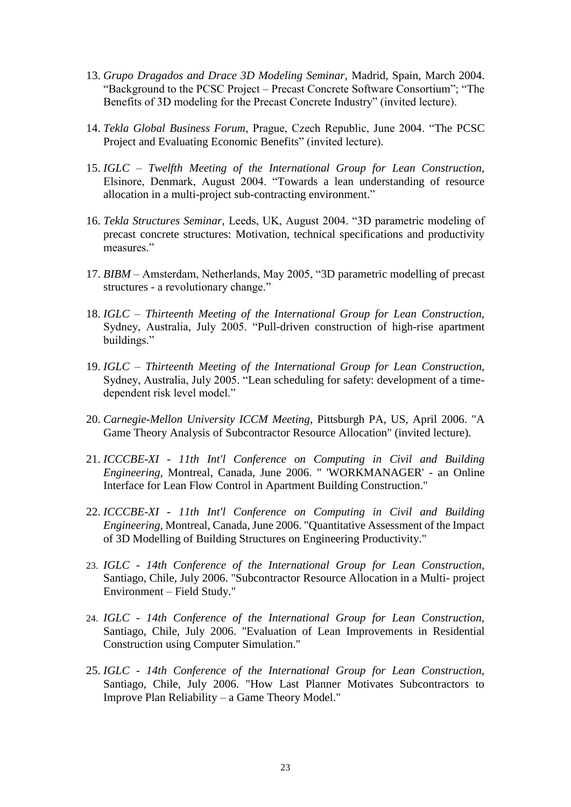- 13. *Grupo Dragados and Drace 3D Modeling Seminar,* Madrid, Spain, March 2004. "Background to the PCSC Project – Precast Concrete Software Consortium"; "The Benefits of 3D modeling for the Precast Concrete Industry" (invited lecture).
- 14. *Tekla Global Business Forum*, Prague, Czech Republic, June 2004. "The PCSC Project and Evaluating Economic Benefits" (invited lecture).
- 15. *IGLC – Twelfth Meeting of the International Group for Lean Construction,*  Elsinore, Denmark, August 2004. "Towards a lean understanding of resource allocation in a multi-project sub-contracting environment."
- 16. *Tekla Structures Seminar,* Leeds, UK, August 2004. "3D parametric modeling of precast concrete structures: Motivation, technical specifications and productivity measures."
- 17. *BIBM –* Amsterdam, Netherlands, May 2005, "3D parametric modelling of precast structures - a revolutionary change."
- 18. *IGLC – Thirteenth Meeting of the International Group for Lean Construction,*  Sydney, Australia, July 2005. "Pull-driven construction of high-rise apartment buildings."
- 19. *IGLC – Thirteenth Meeting of the International Group for Lean Construction,*  Sydney, Australia, July 2005. "Lean scheduling for safety: development of a timedependent risk level model."
- 20. *Carnegie-Mellon University ICCM Meeting*, Pittsburgh PA, US, April 2006. "A Game Theory Analysis of Subcontractor Resource Allocation" (invited lecture).
- 21. *ICCCBE-XI - 11th Int'l Conference on Computing in Civil and Building Engineering,* Montreal, Canada, June 2006. " 'WORKMANAGER' - an Online Interface for Lean Flow Control in Apartment Building Construction."
- 22. *ICCCBE-XI - 11th Int'l Conference on Computing in Civil and Building Engineering,* Montreal, Canada, June 2006. "Quantitative Assessment of the Impact of 3D Modelling of Building Structures on Engineering Productivity."
- 23. *IGLC - 14th Conference of the International Group for Lean Construction,*  Santiago, Chile, July 2006. "Subcontractor Resource Allocation in a Multi- project Environment – Field Study."
- 24. *IGLC - 14th Conference of the International Group for Lean Construction,*  Santiago, Chile, July 2006. "Evaluation of Lean Improvements in Residential Construction using Computer Simulation."
- 25. *IGLC - 14th Conference of the International Group for Lean Construction,*  Santiago, Chile, July 2006. "How Last Planner Motivates Subcontractors to Improve Plan Reliability – a Game Theory Model."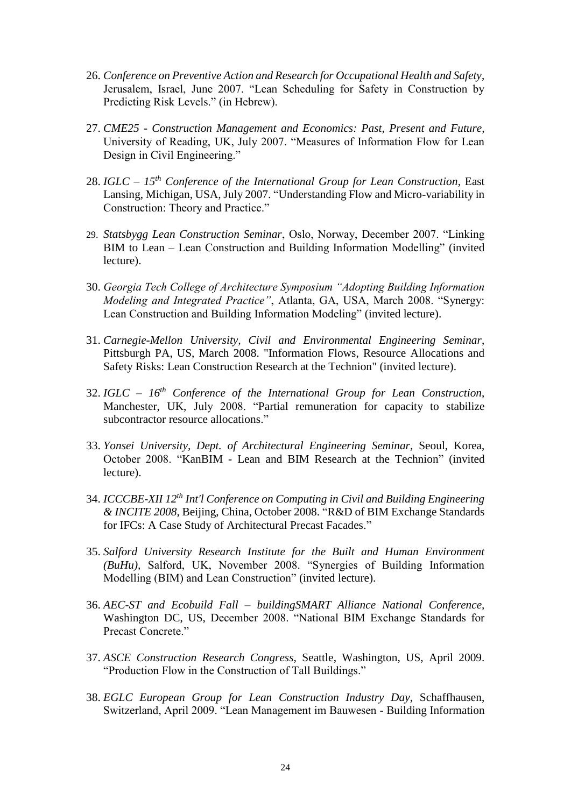- 26. *Conference on Preventive Action and Research for Occupational Health and Safety*, Jerusalem, Israel, June 2007. "Lean Scheduling for Safety in Construction by Predicting Risk Levels." (in Hebrew).
- 27. *CME25 - Construction Management and Economics: Past, Present and Future,* University of Reading, UK, July 2007. "Measures of Information Flow for Lean Design in Civil Engineering."
- 28. *IGLC – 15th Conference of the International Group for Lean Construction*, East Lansing, Michigan, USA, July 2007. "Understanding Flow and Micro-variability in Construction: Theory and Practice."
- 29. *Statsbygg Lean Construction Seminar*, Oslo, Norway, December 2007. "Linking BIM to Lean – Lean Construction and Building Information Modelling" (invited lecture).
- 30. *Georgia Tech College of Architecture Symposium "Adopting Building Information Modeling and Integrated Practice"*, Atlanta, GA, USA, March 2008. "Synergy: Lean Construction and Building Information Modeling" (invited lecture).
- 31. *Carnegie-Mellon University, Civil and Environmental Engineering Seminar*, Pittsburgh PA, US, March 2008. "Information Flows, Resource Allocations and Safety Risks: Lean Construction Research at the Technion" (invited lecture).
- 32. *IGLC – 16th Conference of the International Group for Lean Construction*, Manchester, UK, July 2008. "Partial remuneration for capacity to stabilize subcontractor resource allocations."
- 33. *Yonsei University, Dept. of Architectural Engineering Seminar,* Seoul, Korea, October 2008. "KanBIM - Lean and BIM Research at the Technion" (invited lecture).
- 34. *ICCCBE-XII 12th Int'l Conference on Computing in Civil and Building Engineering & INCITE 2008*, Beijing, China, October 2008. "R&D of BIM Exchange Standards for IFCs: A Case Study of Architectural Precast Facades."
- 35. *Salford University Research Institute for the Built and Human Environment (BuHu),* Salford, UK, November 2008. "Synergies of Building Information Modelling (BIM) and Lean Construction" (invited lecture).
- 36. *AEC-ST and Ecobuild Fall – buildingSMART Alliance National Conference,*  Washington DC, US, December 2008. "National BIM Exchange Standards for Precast Concrete."
- 37. *ASCE Construction Research Congress,* Seattle, Washington, US, April 2009. "Production Flow in the Construction of Tall Buildings."
- 38. *EGLC European Group for Lean Construction Industry Day*, Schaffhausen, Switzerland, April 2009. "Lean Management im Bauwesen - Building Information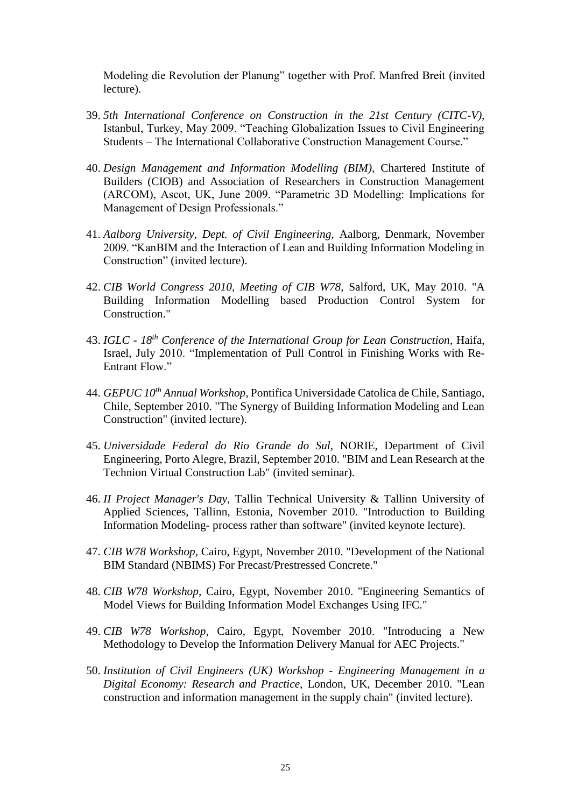Modeling die Revolution der Planung" together with Prof. Manfred Breit (invited lecture).

- 39. *5th International Conference on Construction in the 21st Century (CITC-V)*, Istanbul, Turkey, May 2009. "Teaching Globalization Issues to Civil Engineering Students – The International Collaborative Construction Management Course."
- 40. *Design Management and Information Modelling (BIM),* Chartered Institute of Builders (CIOB) and Association of Researchers in Construction Management (ARCOM), Ascot, UK, June 2009. "Parametric 3D Modelling: Implications for Management of Design Professionals."
- 41. *Aalborg University, Dept. of Civil Engineering,* Aalborg, Denmark, November 2009. "KanBIM and the Interaction of Lean and Building Information Modeling in Construction" (invited lecture).
- 42. *CIB World Congress 2010, Meeting of CIB W78,* Salford, UK, May 2010. "A Building Information Modelling based Production Control System for Construction."
- 43. *IGLC - 18th Conference of the International Group for Lean Construction*, Haifa, Israel, July 2010. "Implementation of Pull Control in Finishing Works with Re-Entrant Flow."
- 44. *GEPUC 10th Annual Workshop,* Pontifica Universidade Catolica de Chile, Santiago, Chile, September 2010. "The Synergy of Building Information Modeling and Lean Construction" (invited lecture).
- 45. *Universidade Federal do Rio Grande do Sul,* NORIE, Department of Civil Engineering, Porto Alegre, Brazil, September 2010. "BIM and Lean Research at the Technion Virtual Construction Lab" (invited seminar).
- 46. *II Project Manager's Day,* Tallin Technical University & Tallinn University of Applied Sciences, Tallinn, Estonia, November 2010. "Introduction to Building Information Modeling- process rather than software" (invited keynote lecture).
- 47. *CIB W78 Workshop,* Cairo, Egypt, November 2010. "Development of the National BIM Standard (NBIMS) For Precast/Prestressed Concrete."
- 48. *CIB W78 Workshop,* Cairo, Egypt, November 2010. "Engineering Semantics of Model Views for Building Information Model Exchanges Using IFC."
- 49. *CIB W78 Workshop,* Cairo, Egypt, November 2010. "Introducing a New Methodology to Develop the Information Delivery Manual for AEC Projects."
- 50. *Institution of Civil Engineers (UK) Workshop - Engineering Management in a Digital Economy: Research and Practice,* London, UK, December 2010. "Lean construction and information management in the supply chain" (invited lecture).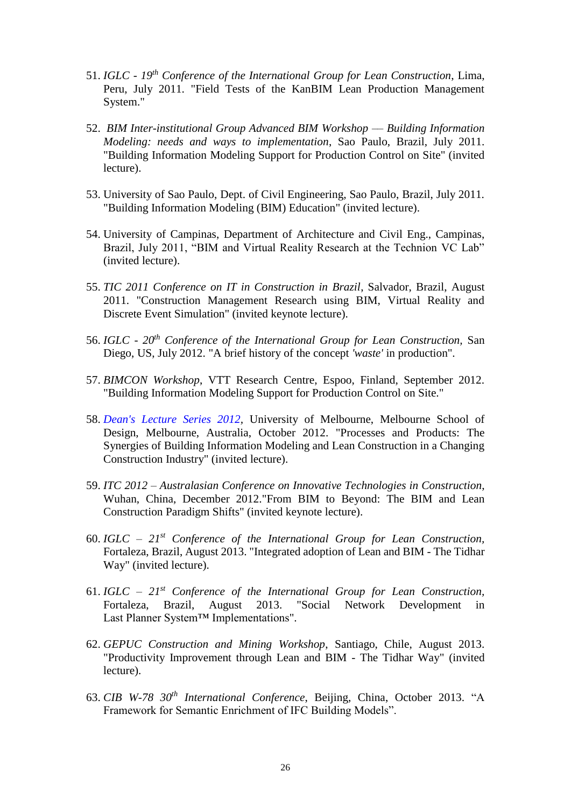- 51. *IGLC - 19th Conference of the International Group for Lean Construction*, Lima, Peru, July 2011. "Field Tests of the KanBIM Lean Production Management System."
- 52. *BIM Inter-institutional Group Advanced BIM Workshop –– Building Information Modeling: needs and ways to implementation*, Sao Paulo, Brazil, July 2011. "Building Information Modeling Support for Production Control on Site" (invited lecture).
- 53. University of Sao Paulo, Dept. of Civil Engineering, Sao Paulo, Brazil, July 2011. "Building Information Modeling (BIM) Education" (invited lecture).
- 54. University of Campinas, Department of Architecture and Civil Eng., Campinas, Brazil, July 2011, "BIM and Virtual Reality Research at the Technion VC Lab" (invited lecture).
- 55. *TIC 2011 Conference on IT in Construction in Brazil*, Salvador, Brazil, August 2011. "Construction Management Research using BIM, Virtual Reality and Discrete Event Simulation" (invited keynote lecture).
- 56. *IGLC - 20th Conference of the International Group for Lean Construction,* San Diego, US, July 2012. "A brief history of the concept *'waste'* in production".
- 57. *BIMCON Workshop*, VTT Research Centre, Espoo, Finland, September 2012. "Building Information Modeling Support for Production Control on Site."
- 58. *[Dean's Lecture Series 2012,](http://www.msd.unimelb.edu.au/events/deans-lectures/sacks/index.html?goback=%2Egde_162286_member_169969525)* University of Melbourne, Melbourne School of Design, Melbourne, Australia, October 2012. "Processes and Products: The Synergies of Building Information Modeling and Lean Construction in a Changing Construction Industry" (invited lecture).
- 59. *ITC 2012 – Australasian Conference on Innovative Technologies in Construction*, Wuhan, China, December 2012."From BIM to Beyond: The BIM and Lean Construction Paradigm Shifts" (invited keynote lecture).
- 60. *IGLC – 21st Conference of the International Group for Lean Construction,*  Fortaleza, Brazil, August 2013. "Integrated adoption of Lean and BIM - The Tidhar Way" (invited lecture).
- 61. *IGLC – 21st Conference of the International Group for Lean Construction,*  Fortaleza, Brazil, August 2013. "Social Network Development in Last Planner System™ Implementations".
- 62. *GEPUC Construction and Mining Workshop*, Santiago, Chile, August 2013. "Productivity Improvement through Lean and BIM - The Tidhar Way" (invited lecture).
- 63. *CIB W-78 30th International Conference*, Beijing, China, October 2013. "A Framework for Semantic Enrichment of IFC Building Models".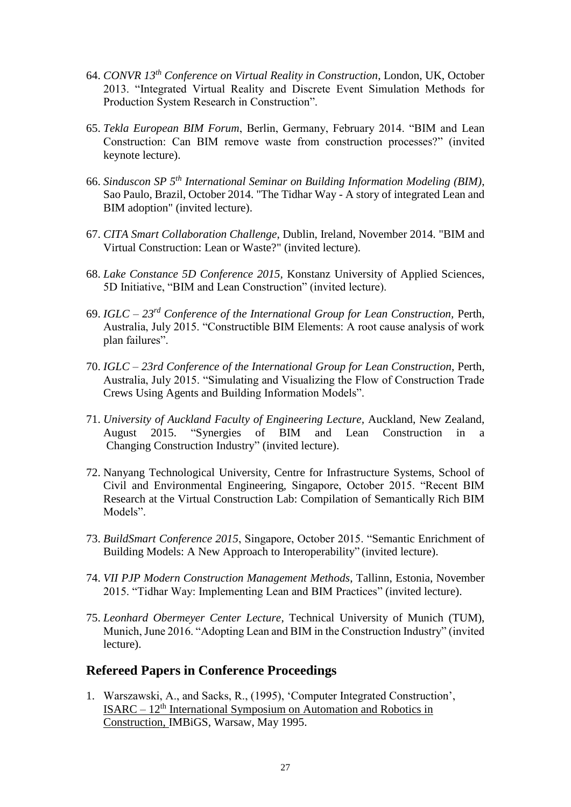- 64. *CONVR 13th Conference on Virtual Reality in Construction*, London, UK, October 2013. "Integrated Virtual Reality and Discrete Event Simulation Methods for Production System Research in Construction".
- 65. *Tekla European BIM Forum*, Berlin, Germany, February 2014. "BIM and Lean Construction: Can BIM remove waste from construction processes?" (invited keynote lecture).
- 66. *Sinduscon SP 5th International Seminar on Building Information Modeling (BIM)*, Sao Paulo, Brazil, October 2014. "The Tidhar Way - A story of integrated Lean and BIM adoption" (invited lecture).
- 67. *CITA Smart Collaboration Challenge*, Dublin, Ireland, November 2014. "BIM and Virtual Construction: Lean or Waste?" (invited lecture).
- 68. *Lake Constance 5D Conference 2015,* Konstanz University of Applied Sciences, 5D Initiative, "BIM and Lean Construction" (invited lecture).
- 69. *IGLC – 23rd Conference of the International Group for Lean Construction,* Perth, Australia, July 2015. "Constructible BIM Elements: A root cause analysis of work plan failures".
- 70. *IGLC – 23rd Conference of the International Group for Lean Construction*, Perth, Australia, July 2015. "Simulating and Visualizing the Flow of Construction Trade Crews Using Agents and Building Information Models".
- 71. *University of Auckland Faculty of Engineering Lecture,* Auckland, New Zealand, August 2015. "Synergies of BIM and Lean Construction in a Changing Construction Industry" (invited lecture).
- 72. Nanyang Technological University, Centre for Infrastructure Systems, School of Civil and Environmental Engineering, Singapore, October 2015. "Recent BIM Research at the Virtual Construction Lab: Compilation of Semantically Rich BIM Models".
- 73. *BuildSmart Conference 2015*, Singapore, October 2015. "Semantic Enrichment of Building Models: A New Approach to Interoperability" (invited lecture).
- 74. *VII PJP Modern Construction Management Methods*, Tallinn, Estonia, November 2015. "Tidhar Way: Implementing Lean and BIM Practices" (invited lecture).
- 75. *Leonhard Obermeyer Center Lecture*, Technical University of Munich (TUM), Munich, June 2016. "Adopting Lean and BIM in the Construction Industry" (invited lecture).

## **Refereed Papers in Conference Proceedings**

1. Warszawski, A., and Sacks, R., (1995), 'Computer Integrated Construction',  $ISARC - 12<sup>th</sup> International Symposium on Automation and Robotics in$ Construction, IMBiGS, Warsaw, May 1995.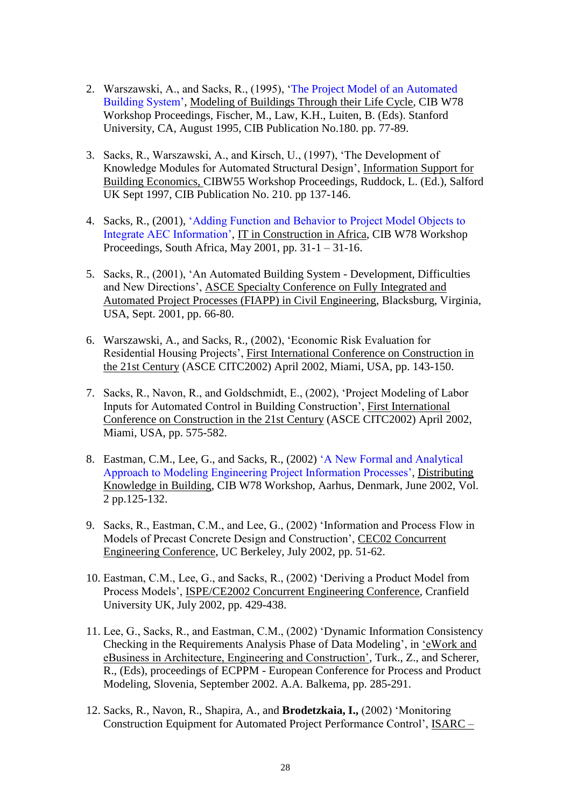- 2. Warszawski, A., and Sacks, R., (1995), ['The Project Model of an Automated](http://itc.scix.net/data/works/att/w78-1995-77.content.pdf)  [Building System',](http://itc.scix.net/data/works/att/w78-1995-77.content.pdf) Modeling of Buildings Through their Life Cycle, CIB W78 Workshop Proceedings, Fischer, M., Law, K.H., Luiten, B. (Eds). Stanford University, CA, August 1995, CIB Publication No.180. pp. 77-89.
- 3. Sacks, R., Warszawski, A., and Kirsch, U., (1997), 'The Development of Knowledge Modules for Automated Structural Design', Information Support for Building Economics, CIBW55 Workshop Proceedings, Ruddock, L. (Ed.), Salford UK Sept 1997, CIB Publication No. 210. pp 137-146.
- 4. Sacks, R., (2001), ['Adding Function and Behavior to Project Model Objects to](http://itc.scix.net/data/works/att/w78-2001-51.content.pdf)  [Integrate AEC Information',](http://itc.scix.net/data/works/att/w78-2001-51.content.pdf) IT in Construction in Africa, CIB W78 Workshop Proceedings, South Africa, May 2001, pp. 31-1 – 31-16.
- 5. Sacks, R., (2001), 'An Automated Building System Development, Difficulties and New Directions', ASCE Specialty Conference on Fully Integrated and Automated Project Processes (FIAPP) in Civil Engineering, Blacksburg, Virginia, USA, Sept. 2001, pp. 66-80.
- 6. Warszawski, A., and Sacks, R., (2002), 'Economic Risk Evaluation for Residential Housing Projects', First International Conference on Construction in the 21st Century (ASCE CITC2002) April 2002, Miami, USA, pp. 143-150.
- 7. Sacks, R., Navon, R., and Goldschmidt, E., (2002), 'Project Modeling of Labor Inputs for Automated Control in Building Construction', First International Conference on Construction in the 21st Century (ASCE CITC2002) April 2002, Miami, USA, pp. 575-582.
- 8. Eastman, C.M., Lee, G., and Sacks, R., (2002) ['A New Formal and Analytical](http://itc.scix.net/data/works/att/w78-2002-67.content.pdf)  [Approach to Modeling Engineering Project Information Processes',](http://itc.scix.net/data/works/att/w78-2002-67.content.pdf) Distributing Knowledge in Building, CIB W78 Workshop, Aarhus, Denmark, June 2002, Vol. 2 pp.125-132.
- 9. Sacks, R., Eastman, C.M., and Lee, G., (2002) 'Information and Process Flow in Models of Precast Concrete Design and Construction', CEC02 Concurrent Engineering Conference, UC Berkeley, July 2002, pp. 51-62.
- 10. Eastman, C.M., Lee, G., and Sacks, R., (2002) 'Deriving a Product Model from Process Models', ISPE/CE2002 Concurrent Engineering Conference, Cranfield University UK, July 2002, pp. 429-438.
- 11. Lee, G., Sacks, R., and Eastman, C.M., (2002) 'Dynamic Information Consistency Checking in the Requirements Analysis Phase of Data Modeling', in 'eWork and eBusiness in Architecture, Engineering and Construction', Turk., Z., and Scherer, R., (Eds), proceedings of ECPPM - European Conference for Process and Product Modeling, Slovenia, September 2002. A.A. Balkema, pp. 285-291.
- 12. Sacks, R., Navon, R., Shapira, A., and **Brodetzkaia, I.,** (2002) 'Monitoring Construction Equipment for Automated Project Performance Control', ISARC –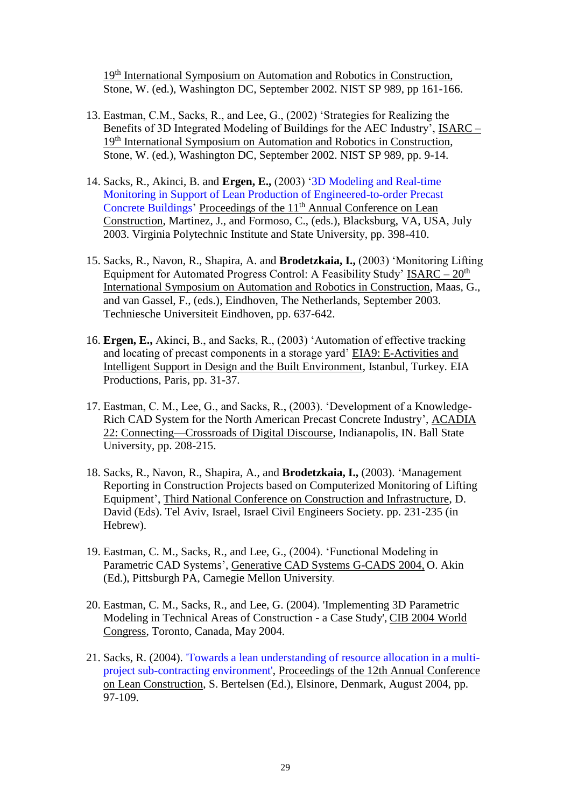19<sup>th</sup> International Symposium on Automation and Robotics in Construction, Stone, W. (ed.), Washington DC, September 2002. NIST SP 989, pp 161-166.

- 13. Eastman, C.M., Sacks, R., and Lee, G., (2002) 'Strategies for Realizing the Benefits of 3D Integrated Modeling of Buildings for the AEC Industry', ISARC – 19<sup>th</sup> International Symposium on Automation and Robotics in Construction, Stone, W. (ed.), Washington DC, September 2002. NIST SP 989, pp. 9-14.
- 14. Sacks, R., Akinci, B. and **Ergen, E.,** (2003) ['3D Modeling and Real-time](http://iglc.net/Papers/Details/266)  [Monitoring in Support of Lean Production of Engineered-to-order Precast](http://iglc.net/Papers/Details/266)  [Concrete Buildings'](http://iglc.net/Papers/Details/266) Proceedings of the 11<sup>th</sup> Annual Conference on Lean Construction, Martinez, J., and Formoso, C., (eds.), Blacksburg, VA, USA, July 2003. Virginia Polytechnic Institute and State University, pp. 398-410.
- 15. Sacks, R., Navon, R., Shapira, A. and **Brodetzkaia, I.,** (2003) 'Monitoring Lifting Equipment for Automated Progress Control: A Feasibility Study' ISARC –  $20<sup>th</sup>$ International Symposium on Automation and Robotics in Construction, Maas, G., and van Gassel, F., (eds.), Eindhoven, The Netherlands, September 2003. Techniesche Universiteit Eindhoven, pp. 637-642.
- 16. **Ergen, E.,** Akinci, B., and Sacks, R., (2003) 'Automation of effective tracking and locating of precast components in a storage yard' EIA9: E-Activities and Intelligent Support in Design and the Built Environment, Istanbul, Turkey. EIA Productions, Paris, pp. 31-37.
- 17. Eastman, C. M., Lee, G., and Sacks, R., (2003). 'Development of a Knowledge-Rich CAD System for the North American Precast Concrete Industry', ACADIA 22: Connecting—Crossroads of Digital Discourse, Indianapolis, IN. Ball State University, pp. 208-215.
- 18. Sacks, R., Navon, R., Shapira, A., and **Brodetzkaia, I.,** (2003). 'Management Reporting in Construction Projects based on Computerized Monitoring of Lifting Equipment', Third National Conference on Construction and Infrastructure, D. David (Eds). Tel Aviv, Israel, Israel Civil Engineers Society. pp. 231-235 (in Hebrew).
- 19. Eastman, C. M., Sacks, R., and Lee, G., (2004). 'Functional Modeling in Parametric CAD Systems', Generative CAD Systems G-CADS 2004, O. Akin (Ed.), Pittsburgh PA, Carnegie Mellon University.
- 20. Eastman, C. M., Sacks, R., and Lee, G. (2004). 'Implementing 3D Parametric Modeling in Technical Areas of Construction - a Case Study', CIB 2004 World Congress, Toronto, Canada, May 2004.
- 21. Sacks, R. (2004). ['Towards a lean understanding of resource allocation in a multi](http://www.iglc2004.dk/_root/media/13057_038-sacks-final.pdf)[project sub-contracting environment',](http://www.iglc2004.dk/_root/media/13057_038-sacks-final.pdf) Proceedings of the 12th Annual Conference on Lean Construction, S. Bertelsen (Ed.), Elsinore, Denmark, August 2004, pp. 97-109.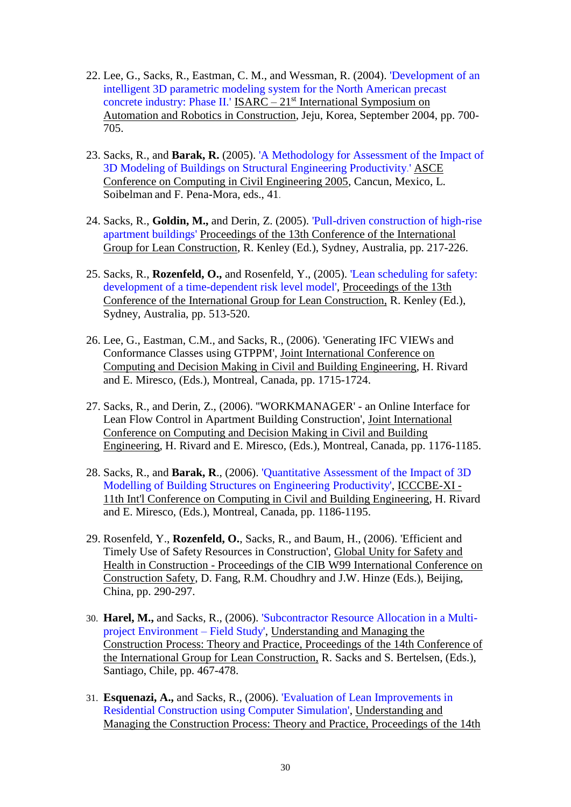- 22. Lee, G., Sacks, R., Eastman, C. M., and Wessman, R. (2004). ['Development of an](http://techunix.technion.ac.il/~cvsacks/publications/ISARC%202004%20-%20Development%20of%20an%20Intelligent%203D%20Modeling%20System%20for%20the%20Precast%20Industry.pdf)  intelligent [3D parametric modeling system for the North American precast](http://techunix.technion.ac.il/~cvsacks/publications/ISARC%202004%20-%20Development%20of%20an%20Intelligent%203D%20Modeling%20System%20for%20the%20Precast%20Industry.pdf)  [concrete industry: Phase II.'](http://techunix.technion.ac.il/~cvsacks/publications/ISARC%202004%20-%20Development%20of%20an%20Intelligent%203D%20Modeling%20System%20for%20the%20Precast%20Industry.pdf) ISARC – 21<sup>st</sup> International Symposium on Automation and Robotics in Construction, Jeju, Korea, September 2004, pp. 700- 705.
- 23. Sacks, R., and **Barak, R.** (2005). ['A Methodology for Assessment of the Impact of](http://scitation.aip.org/vsearch/servlet/VerityServlet?KEY=ASCERL&smode=strresults&sort=chron&maxdisp=25&pjournals=IJGNAI%2CJAEEEZ%2CJAEIED%2CJBENF2%2CJCRGEI%2CJCCOF2%2CJCCEE5%2CJCEMD4%2CJLEED9%2CJENMDT%2CJOEEDU%2CJGGEFK%2CJHEND8%2CJHYEFF%2CJITSE4%2CJIDEDH)  [3D Modeling of Buildings on Structural Engineering Productivity](http://scitation.aip.org/vsearch/servlet/VerityServlet?KEY=ASCERL&smode=strresults&sort=chron&maxdisp=25&pjournals=IJGNAI%2CJAEEEZ%2CJAEIED%2CJBENF2%2CJCRGEI%2CJCCOF2%2CJCCEE5%2CJCEMD4%2CJLEED9%2CJENMDT%2CJOEEDU%2CJGGEFK%2CJHEND8%2CJHYEFF%2CJITSE4%2CJIDEDH).' ASCE Conference on Computing in Civil Engineering 2005, Cancun, Mexico, L. Soibelman and F. Pena-Mora, eds., 41.
- 24. Sacks, R., **Goldin, M.,** and Derin, Z. (2005). ['Pull-driven construction of high-rise](http://www.iglc.net/conferences/2005/papers/session05/25_012_Sacks_Goldin_Derin.pdf)  [apartment buildings'](http://www.iglc.net/conferences/2005/papers/session05/25_012_Sacks_Goldin_Derin.pdf) Proceedings of the 13th Conference of the International Group for Lean Construction, R. Kenley (Ed.), Sydney, Australia, pp. 217-226.
- 25. Sacks, R., **Rozenfeld, O.,** and Rosenfeld, Y., (2005). ['Lean scheduling for safety:](http://www.iglc.net/conferences/2005/papers/session11/56_013_Sacks_Rozenfeld_Rosenfeld.pdf)  [development of a time-dependent risk level model',](http://www.iglc.net/conferences/2005/papers/session11/56_013_Sacks_Rozenfeld_Rosenfeld.pdf) Proceedings of the 13th Conference of the International Group for Lean Construction, R. Kenley (Ed.), Sydney, Australia, pp. 513-520.
- 26. Lee, G., Eastman, C.M., and Sacks, R., (2006). 'Generating IFC VIEWs and Conformance Classes using GTPPM', Joint International Conference on Computing and Decision Making in Civil and Building Engineering, H. Rivard and E. Miresco, (Eds.), Montreal, Canada, pp. 1715-1724.
- 27. Sacks, R., and Derin, Z., (2006). ''WORKMANAGER' an Online Interface for Lean Flow Control in Apartment Building Construction', Joint International Conference on Computing and Decision Making in Civil and Building Engineering, H. Rivard and E. Miresco, (Eds.), Montreal, Canada, pp. 1176-1185.
- 28. Sacks, R., and **Barak, R**., (2006). ['Quantitative Assessment of the Impact of 3D](http://bim.technion.ac.il/ICCCBE%202006%20-%20QUANTITATIVE%20ASSESSMENT%20OF%20THE%20IMPACT%20OF%203D%20MODELING.pdf)  [Modelling of Building Structures on Engineering Productivity',](http://bim.technion.ac.il/ICCCBE%202006%20-%20QUANTITATIVE%20ASSESSMENT%20OF%20THE%20IMPACT%20OF%203D%20MODELING.pdf) ICCCBE-XI - 11th Int'l Conference on Computing in Civil and Building Engineering, H. Rivard and E. Miresco, (Eds.), Montreal, Canada, pp. 1186-1195.
- 29. Rosenfeld, Y., **Rozenfeld, O.**, Sacks, R., and Baum, H., (2006). 'Efficient and Timely Use of Safety Resources in Construction', Global Unity for Safety and Health in Construction - Proceedings of the CIB W99 International Conference on Construction Safety, D. Fang, R.M. Choudhry and J.W. Hinze (Eds.), Beijing, China, pp. 290-297.
- 30. **Harel, M.,** and Sacks, R., (2006). ['Subcontractor Resource Allocation in a Multi](http://www.iglc2006.cl/doc/pres_IGLC/CAPITULO%207/7-9-Paper.pdf)[project Environment –](http://www.iglc2006.cl/doc/pres_IGLC/CAPITULO%207/7-9-Paper.pdf) Field Study', Understanding and Managing the Construction Process: Theory and Practice, Proceedings of the 14th Conference of the International Group for Lean Construction, R. Sacks and S. Bertelsen, (Eds.), Santiago, Chile, pp. 467-478.
- 31. **Esquenazi, A.,** and Sacks, R., (2006). ['Evaluation of Lean Improvements in](http://www.iglc2006.cl/doc/pres_IGLC/CAPITULO%203/3-1-Paper.pdf)  [Residential Construction using Computer Simulation',](http://www.iglc2006.cl/doc/pres_IGLC/CAPITULO%203/3-1-Paper.pdf) Understanding and Managing the Construction Process: Theory and Practice, Proceedings of the 14th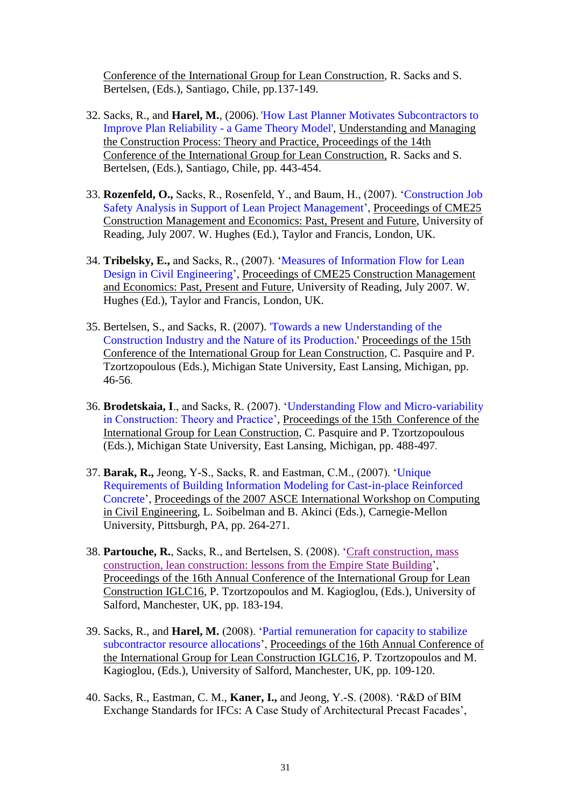Conference of the International Group for Lean Construction, R. Sacks and S. Bertelsen, (Eds.), Santiago, Chile, pp.137-149.

- 32. Sacks, R., and **Harel, M.**, (2006)[.](http://www.iglc2006.cl/doc/pres_IGLC/CAPITULO%207/7-7-Paper.pdf) ['How Last Planner Motivates Subcontractors to](http://www.iglc2006.cl/doc/pres_IGLC/CAPITULO%207/7-7-Paper.pdf)  [Improve Plan Reliability -](http://www.iglc2006.cl/doc/pres_IGLC/CAPITULO%207/7-7-Paper.pdf) a Game Theory Model', Understanding and Managing the Construction Process: Theory and Practice, Proceedings of the 14th Conference of the International Group for Lean Construction, R. Sacks and S. Bertelsen, (Eds.), Santiago, Chile, pp. 443-454.
- 33. **Rozenfeld, O.,** Sacks, R., Rosenfeld, Y., and Baum, H., (2007). 'Construction Job Safety Analysis in Support of Lean Project Management', Proceedings of CME25 Construction Management and Economics: Past, Present and Future, University of Reading, July 2007. W. Hughes (Ed.), Taylor and Francis, London, UK.
- 34. **Tribelsky, E.,** and Sacks, R., (2007). 'Measures of Information Flow for Lean Design in Civil Engineering', Proceedings of CME25 Construction Management and Economics: Past, Present and Future, University of Reading, July 2007. W. Hughes (Ed.), Taylor and Francis, London, UK.
- 35. Bertelsen, S., and Sacks, R. (2007). ['Towards a new Understanding of the](http://www.iglc.net/conferences/2007/folder.2007-06-29.2095743756/05%20Bertelsen%20Sacks_Towards%20a%20new%20understanding%20of%20the%20construction%20industry%20and%20the%20nature%20of%20its%20production.pdf)  [Construction Industry and the Nature of its Production.](http://www.iglc.net/conferences/2007/folder.2007-06-29.2095743756/05%20Bertelsen%20Sacks_Towards%20a%20new%20understanding%20of%20the%20construction%20industry%20and%20the%20nature%20of%20its%20production.pdf)' Proceedings of the 15th Conference of the International Group for Lean Construction, C. Pasquire and P. Tzortzopoulous (Eds.), Michigan State University, East Lansing, Michigan, pp. 46-56.
- 36. **Brodetskaia, I**., and Sacks, R. (2007). ['Understanding Flow and Micro-variability](http://www.iglc.net/conferences/2007/folder.2007-06-29.2095743756/Brodetskaia%20Sacks_Understanding%20flow%20and%20micro%20variability%20in%20construction_theory%20and%20practice.pdf)  [in Construction: Theory and Practice',](http://www.iglc.net/conferences/2007/folder.2007-06-29.2095743756/Brodetskaia%20Sacks_Understanding%20flow%20and%20micro%20variability%20in%20construction_theory%20and%20practice.pdf) Proceedings of the 15th Conference of the International Group for Lean Construction, C. Pasquire and P. Tzortzopoulous (Eds.), Michigan State University, East Lansing, Michigan, pp. 488-497.
- 37. **Barak, R.,** Jeong, Y-S., Sacks, R. and Eastman, C.M., (2007). ['Unique](http://link.aip.org/link/?ASC/261/33/1)  [Requirements of Building Information Modeling for Cast-in-place Reinforced](http://link.aip.org/link/?ASC/261/33/1)  [Concrete'](http://link.aip.org/link/?ASC/261/33/1), Proceedings of the 2007 ASCE International Workshop on Computing in Civil Engineering, L. Soibelman and B. Akinci (Eds.), Carnegie-Mellon University, Pittsburgh, PA, pp. 264-271.
- 38. **Partouche, R.**, Sacks, R., and Bertelsen, S. (2008). ['Craft construction, mass](http://iglc.net/Papers/Details/599)  [construction, lean construction: lessons from the Empire State Building'](http://iglc.net/Papers/Details/599), Proceedings of the 16th Annual Conference of the International Group for Lean Construction IGLC16, P. Tzortzopoulos and M. Kagioglou, (Eds.), University of Salford, Manchester, UK, pp. 183-194.
- 39. Sacks, R., and **Harel, M.** (2008). ['Partial remuneration for capacity to stabilize](http://iglc.net/Papers/Details/607)  [subcontractor resource allocations'](http://iglc.net/Papers/Details/607), Proceedings of the 16th Annual Conference of the International Group for Lean Construction IGLC16, P. Tzortzopoulos and M. Kagioglou, (Eds.), University of Salford, Manchester, UK, pp. 109-120.
- 40. Sacks, R., Eastman, C. M., **Kaner, I.,** and Jeong, Y.-S. (2008). 'R&D of BIM Exchange Standards for IFCs: A Case Study of Architectural Precast Facades',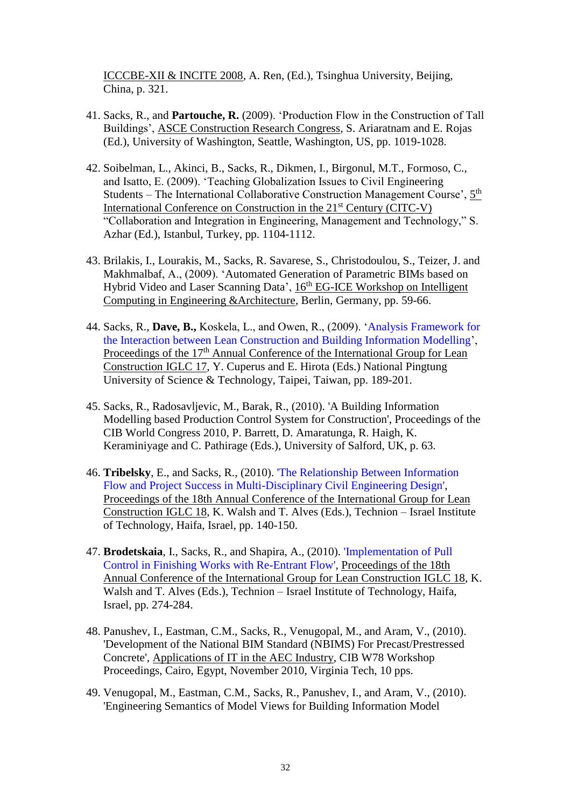ICCCBE-XII & INCITE 2008, A. Ren, (Ed.), Tsinghua University, Beijing, China, p. 321.

- 41. Sacks, R., and **Partouche, R.** (2009). 'Production Flow in the Construction of Tall Buildings', ASCE Construction Research Congress, S. Ariaratnam and E. Rojas (Ed.), University of Washington, Seattle, Washington, US, pp. 1019-1028.
- 42. Soibelman, L., Akinci, B., Sacks, R., Dikmen, I., Birgonul, M.T., Formoso, C., and Isatto, E. (2009). 'Teaching Globalization Issues to Civil Engineering Students – The International Collaborative Construction Management Course',  $5<sup>th</sup>$ International Conference on Construction in the 21<sup>st</sup> Century (CITC-V) "Collaboration and Integration in Engineering, Management and Technology," S. Azhar (Ed.), Istanbul, Turkey, pp. 1104-1112.
- 43. Brilakis, I., Lourakis, M., Sacks, R. Savarese, S., Christodoulou, S., Teizer, J. and Makhmalbaf, A., (2009). 'Automated Generation of Parametric BIMs based on Hybrid Video and Laser Scanning Data', 16<sup>th</sup> EG-ICE Workshop on Intelligent Computing in Engineering &Architecture, Berlin, Germany, pp. 59-66.
- 44. Sacks, R., **Dave, B.,** Koskela, L., and Owen, R., (2009). ['Analysis Framework for](http://iglc.net/Papers/Details/668)  [the Interaction between Lean Construction and Building Information Modelling'](http://iglc.net/Papers/Details/668), Proceedings of the 17<sup>th</sup> Annual Conference of the International Group for Lean Construction IGLC 17, Y. Cuperus and E. Hirota (Eds.) [National Pingtung](http://www.npust.edu.tw/english/news_asp/news.html)  [University of Science & Technology,](http://www.npust.edu.tw/english/news_asp/news.html) Taipei, Taiwan, pp. 189-201.
- 45. Sacks, R., Radosavljevic, M., Barak, R., (2010). 'A Building Information Modelling based Production Control System for Construction', Proceedings of the CIB World Congress 2010, P. Barrett, D. Amaratunga, R. Haigh, K. Keraminiyage and C. Pathirage (Eds.), University of Salford, UK, p. 63.
- 46. **Tribelsky**, E., and Sacks, R., (2010). ['The Relationship Between Information](http://iglc.net/Papers/Details/722)  [Flow and Project Success in Multi-Disciplinary Civil Engineering Design',](http://iglc.net/Papers/Details/722) Proceedings of the 18th Annual Conference of the International Group for Lean Construction IGLC 18, K. Walsh and T. Alves (Eds.), Technion – Israel Institute of Technology, Haifa, Israel, pp. 140-150.
- 47. **Brodetskaia**, I., Sacks, R., and Shapira, A., (2010). ['Implementation of Pull](http://iglc.net/Papers/Details/713)  [Control in Finishing Works with Re-Entrant Flow',](http://iglc.net/Papers/Details/713) Proceedings of the 18th Annual Conference of the International Group for Lean Construction IGLC 18, K. Walsh and T. Alves (Eds.), Technion – Israel Institute of Technology, Haifa, Israel, pp. 274-284.
- 48. Panushev, I., Eastman, C.M., Sacks, R., Venugopal, M., and Aram, V., (2010). 'Development of the National BIM Standard (NBIMS) For Precast/Prestressed Concrete', Applications of IT in the AEC Industry, CIB W78 Workshop Proceedings, Cairo, Egypt, November 2010, Virginia Tech, 10 pps.
- 49. Venugopal, M., Eastman, C.M., Sacks, R., Panushev, I., and Aram, V., (2010). 'Engineering Semantics of Model Views for Building Information Model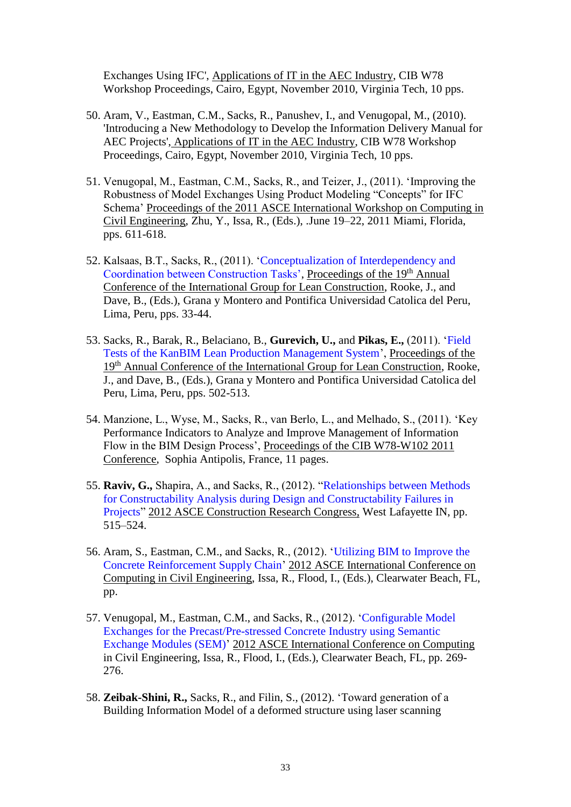Exchanges Using IFC', Applications of IT in the AEC Industry, CIB W78 Workshop Proceedings, Cairo, Egypt, November 2010, Virginia Tech, 10 pps.

- 50. Aram, V., Eastman, C.M., Sacks, R., Panushev, I., and Venugopal, M., (2010). 'Introducing a New Methodology to Develop the Information Delivery Manual for AEC Projects', Applications of IT in the AEC Industry, CIB W78 Workshop Proceedings, Cairo, Egypt, November 2010, Virginia Tech, 10 pps.
- 51. Venugopal, M., Eastman, C.M., Sacks, R., and Teizer, J., (2011). ['Improving the](http://link.aip.org/link/ascecp/v416/i41182/p75/s1)  [Robustness of Model Exchanges Using Product Modeling "Concepts" for IFC](http://link.aip.org/link/ascecp/v416/i41182/p75/s1)  [Schema'](http://link.aip.org/link/ascecp/v416/i41182/p75/s1) Proceedings of the 2011 ASCE International Workshop on Computing in Civil Engineering, Zhu, Y., Issa, R., (Eds.), .June 19–22, 2011 Miami, Florida, pps. 611-618.
- 52. Kalsaas, B.T., Sacks, R., (2011). ['Conceptualization of Interdependency and](http://iglc.net/Papers/Details/1122)  [Coordination between Construction Tasks',](http://iglc.net/Papers/Details/1122) Proceedings of the 19th Annual Conference of the International Group for Lean Construction, Rooke, J., and Dave, B., (Eds.), Grana y Montero and Pontifica Universidad Catolica del Peru, Lima, Peru, pps. 33-44.
- 53. Sacks, R., Barak, R., Belaciano, B., **Gurevich, U.,** and **Pikas, E.,** (2011). ['Field](http://iglc.net/Papers/Details/1124)  [Tests of the KanBIM Lean Production Management System'](http://iglc.net/Papers/Details/1124), Proceedings of the 19<sup>th</sup> Annual Conference of the International Group for Lean Construction, Rooke, J., and Dave, B., (Eds.), Grana y Montero and Pontifica Universidad Catolica del Peru, Lima, Peru, pps. 502-513.
- 54. Manzione, L., Wyse, M., Sacks, R., van Berlo, L., and Melhado, S., (2011). 'Key Performance Indicators to Analyze and Improve Management of Information Flow in the BIM Design Process', Proceedings of the CIB W78-W102 2011 Conference, Sophia Antipolis, France, 11 pages.
- 55. **Raviv, G.,** Shapira, A., and Sacks, R., (2012). ["Relationships between Methods](http://dx.doi.org/10.1061/9780784412329.052)  [for Constructability Analysis during Design and Constructability Failures in](http://dx.doi.org/10.1061/9780784412329.052)  [Projects"](http://dx.doi.org/10.1061/9780784412329.052) 2012 ASCE Construction Research Congress, West Lafayette IN, pp. 515–524.
- 56. Aram, S., Eastman, C.M., and Sacks, R., (2012). ['Utilizing BIM to Improve the](http://dx.doi.org/10.1061/9780784412343.0042)  [Concrete Reinforcement Supply Chain'](http://dx.doi.org/10.1061/9780784412343.0042) 2012 ASCE International Conference on Computing in Civil Engineering, Issa, R., Flood, I., (Eds.), Clearwater Beach, FL, pp.
- 57. Venugopal, M., Eastman, C.M., and Sacks, R., (2012). ['Configurable Model](ftp://ftp.asce.org/Computing in Civil Engineering Authority Files/PDFs/9780784412343.0034.pdf)  [Exchanges for the Precast/Pre-stressed Concrete Industry using Semantic](ftp://ftp.asce.org/Computing in Civil Engineering Authority Files/PDFs/9780784412343.0034.pdf)  [Exchange Modules \(SEM\)'](ftp://ftp.asce.org/Computing in Civil Engineering Authority Files/PDFs/9780784412343.0034.pdf) 2012 ASCE International Conference on Computing in Civil Engineering, Issa, R., Flood, I., (Eds.), Clearwater Beach, FL, pp. 269- 276.
- 58. **Zeibak-Shini, R.,** Sacks, R., and Filin, S., (2012). 'Toward generation of a Building Information Model of a deformed structure using laser scanning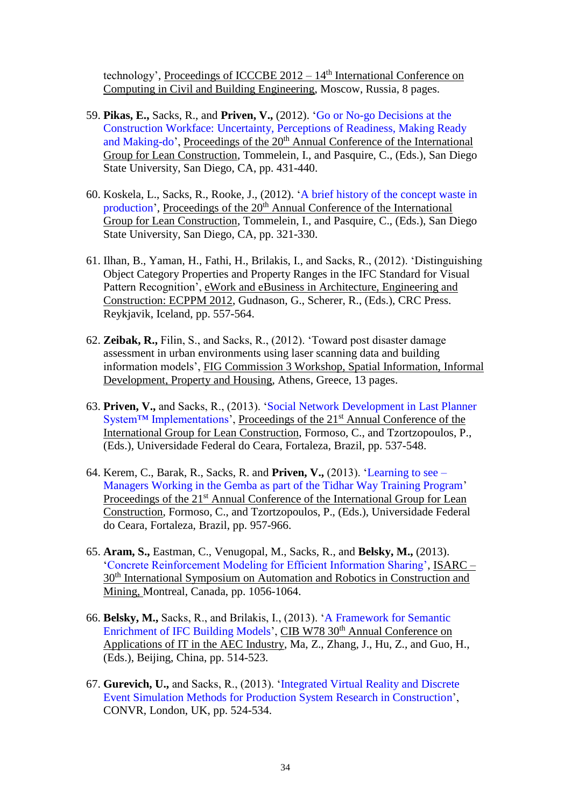technology', Proceedings of ICCCBE  $2012 - 14$ <sup>th</sup> International Conference on Computing in Civil and Building Engineering, Moscow, Russia, 8 pages.

- 59. **Pikas, E.,** Sacks, R., and **Priven, V.,** (2012). ['Go or No-go Decisions at the](http://iglc.net/Papers/Details/833)  [Construction Workface: Uncertainty, Perceptions of Readiness, Making Ready](http://iglc.net/Papers/Details/833)  [and Making-do'](http://iglc.net/Papers/Details/833), Proceedings of the 20<sup>th</sup> Annual Conference of the International Group for Lean Construction, Tommelein, I., and Pasquire, C., (Eds.), San Diego State University, San Diego, CA, pp. 431-440.
- 60. Koskela, L., Sacks, R., Rooke, J., (2012). ['A brief history of the concept waste in](http://iglc.net/Papers/Details/794)  [production'](http://iglc.net/Papers/Details/794), Proceedings of the 20<sup>th</sup> Annual Conference of the International Group for Lean Construction, Tommelein, I., and Pasquire, C., (Eds.), San Diego State University, San Diego, CA, pp. 321-330.
- 61. Ilhan, B., Yaman, H., Fathi, H., Brilakis, I., and Sacks, R., (2012). 'Distinguishing Object Category Properties and Property Ranges in the IFC Standard for Visual Pattern Recognition', eWork and eBusiness in Architecture, Engineering and Construction: ECPPM 2012, Gudnason, G., Scherer, R., (Eds.), CRC Press. Reykjavik, Iceland, pp. 557-564.
- 62. **Zeibak, R.,** Filin, S., and Sacks, R., (2012). 'Toward post disaster damage assessment in urban environments using laser scanning data and building information models', FIG Commission 3 Workshop, Spatial Information, Informal Development, Property and Housing, Athens, Greece, 13 pages.
- 63. **Priven, V.,** and Sacks, R., (2013). ['Social Network Development in Last Planner](http://iglc.net/?page_id=786)  [System™ Implementations'](http://iglc.net/?page_id=786), Proceedings of the 21<sup>st</sup> Annual Conference of the International Group for Lean Construction, Formoso, C., and Tzortzopoulos, P., (Eds.), Universidade Federal do Ceara, Fortaleza, Brazil, pp. 537-548.
- 64. Kerem, C., Barak, R., Sacks, R. and **Priven, V.,** (2013). ['Learning to see –](http://iglc.net/?page_id=706) [Managers Working in the Gemba as part of the Tidhar Way Training Program'](http://iglc.net/?page_id=706) Proceedings of the 21<sup>st</sup> Annual Conference of the International Group for Lean Construction, Formoso, C., and Tzortzopoulos, P., (Eds.), Universidade Federal do Ceara, Fortaleza, Brazil, pp. 957-966.
- 65. **Aram, S.,** Eastman, C., Venugopal, M., Sacks, R., and **Belsky, M.,** (2013). ['Concrete Reinforcement Modeling for Efficient Information Sharing',](http://www.iaarc.org/publications/proceedings_of_the_30th_isarc/concrete_reinforcement_modeling_for_efficient_information_sharing.html) ISARC – 30th International Symposium on Automation and Robotics in Construction and Mining, Montreal, Canada, pp. 1056-1064.
- 66. **Belsky, M.,** Sacks, R., and Brilakis, I., (2013). ['A Framework for Semantic](http://itc.scix.net/data/works/att/w78-2013-paper-60.pdf)  [Enrichment of IFC Building Models'](http://itc.scix.net/data/works/att/w78-2013-paper-60.pdf), CIB W78 30<sup>th</sup> Annual Conference on Applications of IT in the AEC Industry, Ma, Z., Zhang, J., Hu, Z., and Guo, H., (Eds.), Beijing, China, pp. 514-523.
- 67. **Gurevich, U.,** and Sacks, R., (2013). ['Integrated Virtual Reality and Discrete](http://itc.scix.net/cgi-bin/works/Show?_id=convr%2d2013%2d52&sort=DEFAULT&search=%22convr%3a2013%22%20convr%202013%20sacks&hits=124)  [Event Simulation Methods for Production System Research in Construction'](http://itc.scix.net/cgi-bin/works/Show?_id=convr%2d2013%2d52&sort=DEFAULT&search=%22convr%3a2013%22%20convr%202013%20sacks&hits=124), CONVR, London, UK, pp. 524-534.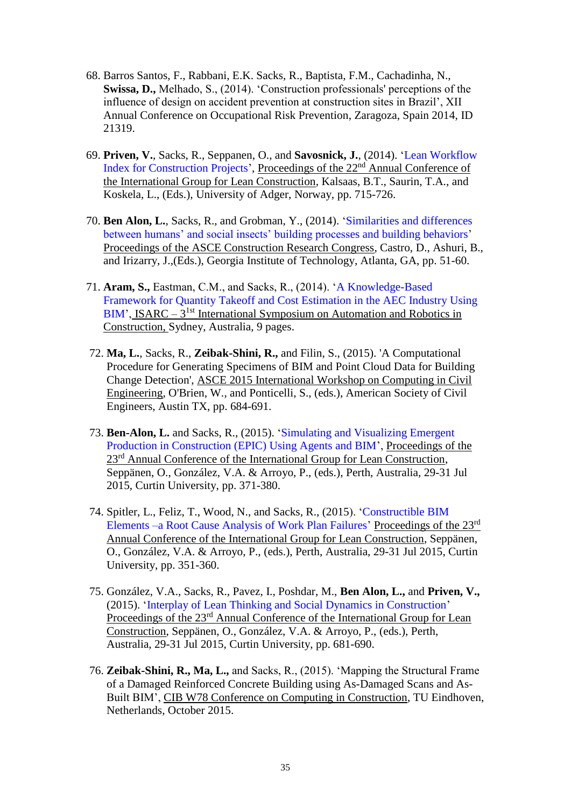- 68. Barros Santos, F., Rabbani, E.K. Sacks, R., Baptista, F.M., Cachadinha, N., **Swissa, D.,** Melhado, S., (2014). 'Construction professionals' perceptions of the influence of design on accident prevention at construction sites in Brazil', XII Annual Conference on Occupational Risk Prevention, Zaragoza, Spain 2014, ID 21319.
- 69. **Priven, V.**, Sacks, R., Seppanen, O., and **Savosnick, J.**, (2014). ['Lean Workflow](http://goo.gl/JLeXBO)  [Index for Construction Projects'](http://goo.gl/JLeXBO), Proceedings of the 22<sup>nd</sup> Annual Conference of the International Group for Lean Construction, Kalsaas, B.T., Saurin, T.A., and Koskela, L., (Eds.), University of Adger, Norway, pp. 715-726.
- 70. **Ben Alon, L.**, Sacks, R., and Grobman, Y., (2014). ['Similarities and differences](http://dx.doi.org/10.1061/9780784413517.006)  [between humans' and social insects' building processes and building behaviors'](http://dx.doi.org/10.1061/9780784413517.006) Proceedings of the ASCE Construction Research Congress, Castro, D., Ashuri, B., and Irizarry, J.,(Eds.), Georgia Institute of Technology, Atlanta, GA, pp. 51-60.
- 71. **Aram, S.,** Eastman, C.M., and Sacks, R., (2014). ['A Knowledge-Based](http://www.iaarc.org/publications/fulltext/isarc2014_submission_189.pdf)  [Framework for Quantity Takeoff and Cost Estimation in the AEC Industry Using](http://www.iaarc.org/publications/fulltext/isarc2014_submission_189.pdf)  [BIM'](http://www.iaarc.org/publications/fulltext/isarc2014_submission_189.pdf), ISARC – 3<sup>1st</sup> International Symposium on Automation and Robotics in Construction, Sydney, Australia, 9 pages.
- 72. **Ma, L.**, Sacks, R., **Zeibak-Shini, R.,** and Filin, S., (2015). 'A Computational Procedure for Generating Specimens of BIM and Point Cloud Data for Building Change Detection', ASCE 2015 International Workshop on Computing in Civil Engineering, O'Brien, W., and Ponticelli, S., (eds.), American Society of Civil Engineers, Austin TX, pp. 684-691.
- 73. **Ben-Alon, L.** and Sacks, R., (2015). ['Simulating and Visualizing Emergent](http://iglc.net/Papers/Details/1221)  [Production in Construction \(EPIC\) Using Agents and BIM'](http://iglc.net/Papers/Details/1221), Proceedings of the 23<sup>rd</sup> Annual Conference of the International Group for Lean Construction, Seppänen, O., González, V.A. & Arroyo, P., (eds.), Perth, Australia, 29-31 Jul 2015, Curtin University, pp. 371-380.
- 74. Spitler, L., Feliz, T., Wood, N., and Sacks, R., (2015). ['Constructible BIM](http://iglc.net/Papers/Details/1183)  Elements [–a Root Cause Analysis of Work Plan Failures'](http://iglc.net/Papers/Details/1183) Proceedings of the 23<sup>rd</sup> Annual Conference of the International Group for Lean Construction, Seppänen, O., González, V.A. & Arroyo, P., (eds.), Perth, Australia, 29-31 Jul 2015, Curtin University, pp. 351-360.
- 75. González, V.A., Sacks, R., Pavez, I., Poshdar, M., **Ben Alon, L.,** and **Priven, V.,** (2015). ['Interplay of Lean Thinking and Social Dynamics in Construction'](http://iglc.net/Papers/Details/1203) Proceedings of the 23<sup>rd</sup> Annual Conference of the International Group for Lean Construction, Seppänen, O., González, V.A. & Arroyo, P., (eds.), Perth, Australia, 29-31 Jul 2015, Curtin University, pp. 681-690.
- 76. **Zeibak-Shini, R., Ma, L.,** and Sacks, R., (2015). 'Mapping the Structural Frame of a Damaged Reinforced Concrete Building using As-Damaged Scans and As-Built BIM', CIB W78 Conference on Computing in Construction, TU Eindhoven, Netherlands, October 2015.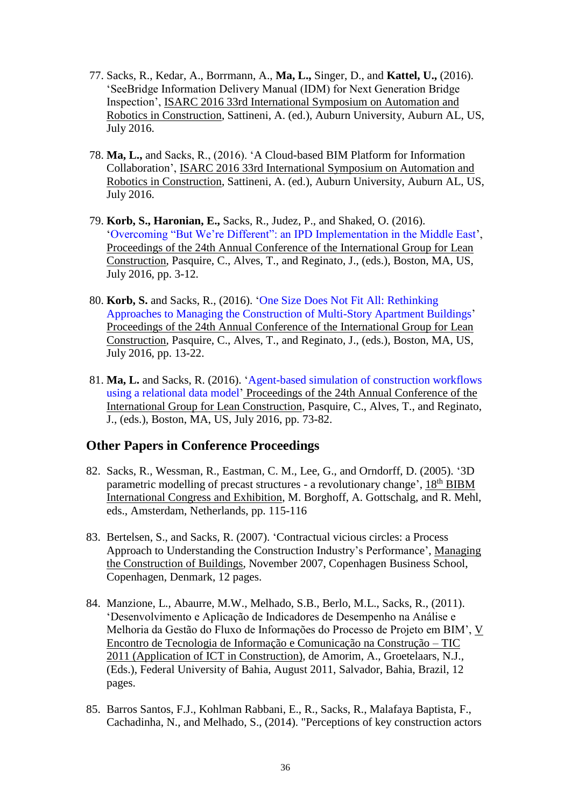- 77. Sacks, R., Kedar, A., Borrmann, A., **Ma, L.,** Singer, D., and **Kattel, U.,** (2016). 'SeeBridge Information Delivery Manual (IDM) for Next Generation Bridge Inspection', ISARC 2016 33rd International Symposium on Automation and Robotics in Construction, Sattineni, A. (ed.), Auburn University, Auburn AL, US, July 2016.
- 78. **Ma, L.,** and Sacks, R., (2016). 'A Cloud-based BIM Platform for Information Collaboration', ISARC 2016 33rd International Symposium on Automation and Robotics in Construction, Sattineni, A. (ed.), Auburn University, Auburn AL, US, July 2016.
- 79. **Korb, S., Haronian, E.,** Sacks, R., Judez, P., and Shaked, O. (2016). ['Overcoming "But We're Different": an IPD Implementation in the Middle East'](http://iglc.net/Papers/Details/1325), Proceedings of the 24th Annual Conference of the International Group for Lean Construction, Pasquire, C., Alves, T., and Reginato, J., (eds.), Boston, MA, US, July 2016, pp. 3-12.
- 80. **Korb, S.** and Sacks, R., (2016). ['One Size Does Not Fit All: Rethinking](http://iglc.net/Papers/Details/1323)  [Approaches to Managing the Construction of Multi-Story Apartment Buildings'](http://iglc.net/Papers/Details/1323) Proceedings of the 24th Annual Conference of the International Group for Lean Construction, Pasquire, C., Alves, T., and Reginato, J., (eds.), Boston, MA, US, July 2016, pp. 13-22.
- 81. **Ma, L.** and Sacks, R. (2016). ['Agent-based simulation of construction workflows](http://iglc.net/Papers/Details/1251)  [using a relational data model'](http://iglc.net/Papers/Details/1251) Proceedings of the 24th Annual Conference of the International Group for Lean Construction, Pasquire, C., Alves, T., and Reginato, J., (eds.), Boston, MA, US, July 2016, pp. 73-82.

## **Other Papers in Conference Proceedings**

- 82. Sacks, R., Wessman, R., Eastman, C. M., Lee, G., and Orndorff, D. (2005). '3D parametric modelling of precast structures - a revolutionary change', 18th BIBM International Congress and Exhibition, M. Borghoff, A. Gottschalg, and R. Mehl, eds., Amsterdam, Netherlands, pp. 115-116
- 83. Bertelsen, S., and Sacks, R. (2007). 'Contractual vicious circles: a Process Approach to Understanding the Construction Industry's Performance', Managing the Construction of Buildings, November 2007, Copenhagen Business School, Copenhagen, Denmark, 12 pages.
- 84. Manzione, L., Abaurre, M.W., Melhado, S.B., Berlo, M.L., Sacks, R., (2011). 'Desenvolvimento e Aplicação de Indicadores de Desempenho na Análise e Melhoria da Gestão do Fluxo de Informações do Processo de Projeto em BIM', V Encontro de Tecnologia de Informação e Comunicação na Construção – TIC 2011 (Application of ICT in Construction), de Amorim, A., Groetelaars, N.J., (Eds.), Federal University of Bahia, August 2011, Salvador, Bahia, Brazil, 12 pages.
- 85. Barros Santos, F.J., Kohlman Rabbani, E., R., Sacks, R., Malafaya Baptista, F., Cachadinha, N., and Melhado, S., (2014). "Perceptions of key construction actors